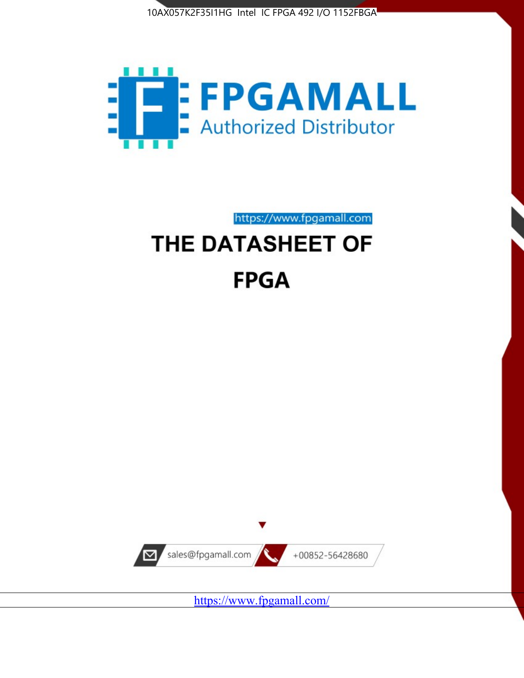



# https://www.fpgamall.com THE DATASHEET OF **FPGA**



<https://www.fpgamall.com/>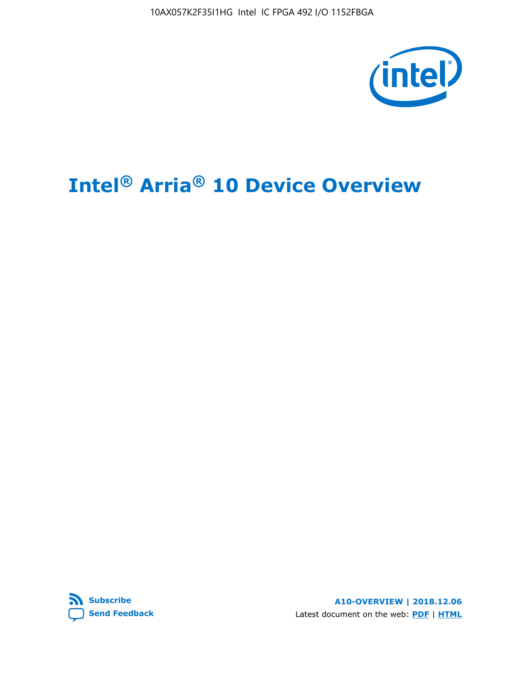

# **Intel® Arria® 10 Device Overview**



**A10-OVERVIEW | 2018.12.06** Latest document on the web: **[PDF](https://www.intel.com/content/dam/www/programmable/us/en/pdfs/literature/hb/arria-10/a10_overview.pdf)** | **[HTML](https://www.intel.com/content/www/us/en/programmable/documentation/sam1403480274650.html)**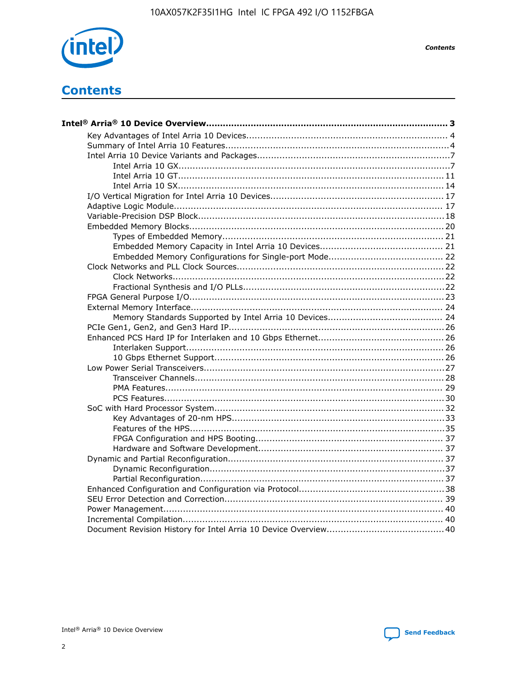

**Contents** 

# **Contents**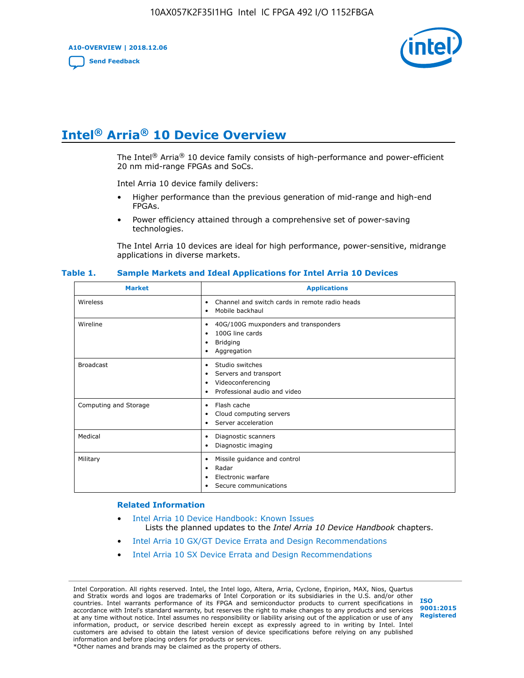**A10-OVERVIEW | 2018.12.06**

**[Send Feedback](mailto:FPGAtechdocfeedback@intel.com?subject=Feedback%20on%20Intel%20Arria%2010%20Device%20Overview%20(A10-OVERVIEW%202018.12.06)&body=We%20appreciate%20your%20feedback.%20In%20your%20comments,%20also%20specify%20the%20page%20number%20or%20paragraph.%20Thank%20you.)**



# **Intel® Arria® 10 Device Overview**

The Intel<sup>®</sup> Arria<sup>®</sup> 10 device family consists of high-performance and power-efficient 20 nm mid-range FPGAs and SoCs.

Intel Arria 10 device family delivers:

- Higher performance than the previous generation of mid-range and high-end FPGAs.
- Power efficiency attained through a comprehensive set of power-saving technologies.

The Intel Arria 10 devices are ideal for high performance, power-sensitive, midrange applications in diverse markets.

| <b>Market</b>         | <b>Applications</b>                                                                                               |
|-----------------------|-------------------------------------------------------------------------------------------------------------------|
| Wireless              | Channel and switch cards in remote radio heads<br>٠<br>Mobile backhaul<br>٠                                       |
| Wireline              | 40G/100G muxponders and transponders<br>٠<br>100G line cards<br>٠<br><b>Bridging</b><br>٠<br>Aggregation<br>٠     |
| <b>Broadcast</b>      | Studio switches<br>٠<br>Servers and transport<br>٠<br>Videoconferencing<br>٠<br>Professional audio and video<br>٠ |
| Computing and Storage | Flash cache<br>٠<br>Cloud computing servers<br>٠<br>Server acceleration<br>٠                                      |
| Medical               | Diagnostic scanners<br>٠<br>Diagnostic imaging<br>٠                                                               |
| Military              | Missile guidance and control<br>٠<br>Radar<br>٠<br>Electronic warfare<br>٠<br>Secure communications<br>٠          |

#### **Table 1. Sample Markets and Ideal Applications for Intel Arria 10 Devices**

#### **Related Information**

- [Intel Arria 10 Device Handbook: Known Issues](http://www.altera.com/support/kdb/solutions/rd07302013_646.html) Lists the planned updates to the *Intel Arria 10 Device Handbook* chapters.
- [Intel Arria 10 GX/GT Device Errata and Design Recommendations](https://www.intel.com/content/www/us/en/programmable/documentation/agz1493851706374.html#yqz1494433888646)
- [Intel Arria 10 SX Device Errata and Design Recommendations](https://www.intel.com/content/www/us/en/programmable/documentation/cru1462832385668.html#cru1462832558642)

Intel Corporation. All rights reserved. Intel, the Intel logo, Altera, Arria, Cyclone, Enpirion, MAX, Nios, Quartus and Stratix words and logos are trademarks of Intel Corporation or its subsidiaries in the U.S. and/or other countries. Intel warrants performance of its FPGA and semiconductor products to current specifications in accordance with Intel's standard warranty, but reserves the right to make changes to any products and services at any time without notice. Intel assumes no responsibility or liability arising out of the application or use of any information, product, or service described herein except as expressly agreed to in writing by Intel. Intel customers are advised to obtain the latest version of device specifications before relying on any published information and before placing orders for products or services. \*Other names and brands may be claimed as the property of others.

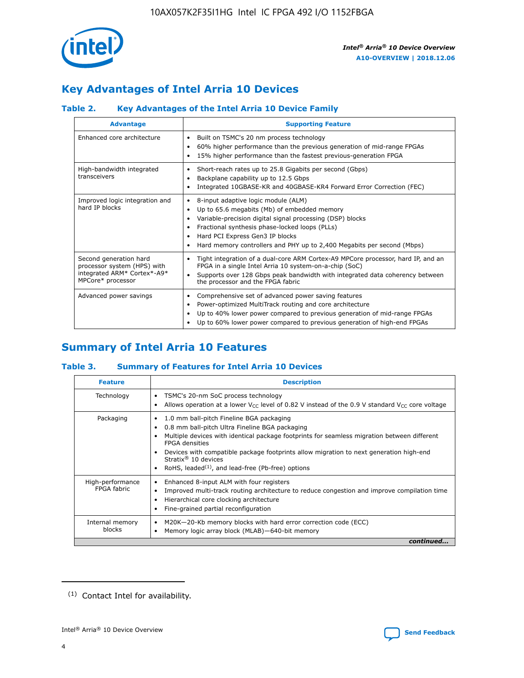

# **Key Advantages of Intel Arria 10 Devices**

# **Table 2. Key Advantages of the Intel Arria 10 Device Family**

| <b>Advantage</b>                                                                                          | <b>Supporting Feature</b>                                                                                                                                                                                                                                                                                                     |
|-----------------------------------------------------------------------------------------------------------|-------------------------------------------------------------------------------------------------------------------------------------------------------------------------------------------------------------------------------------------------------------------------------------------------------------------------------|
| Enhanced core architecture                                                                                | Built on TSMC's 20 nm process technology<br>٠<br>60% higher performance than the previous generation of mid-range FPGAs<br>٠<br>15% higher performance than the fastest previous-generation FPGA<br>٠                                                                                                                         |
| High-bandwidth integrated<br>transceivers                                                                 | Short-reach rates up to 25.8 Gigabits per second (Gbps)<br>٠<br>Backplane capability up to 12.5 Gbps<br>٠<br>Integrated 10GBASE-KR and 40GBASE-KR4 Forward Error Correction (FEC)<br>٠                                                                                                                                        |
| Improved logic integration and<br>hard IP blocks                                                          | 8-input adaptive logic module (ALM)<br>٠<br>Up to 65.6 megabits (Mb) of embedded memory<br>٠<br>Variable-precision digital signal processing (DSP) blocks<br>Fractional synthesis phase-locked loops (PLLs)<br>٠<br>Hard PCI Express Gen3 IP blocks<br>Hard memory controllers and PHY up to 2,400 Megabits per second (Mbps) |
| Second generation hard<br>processor system (HPS) with<br>integrated ARM* Cortex*-A9*<br>MPCore* processor | Tight integration of a dual-core ARM Cortex-A9 MPCore processor, hard IP, and an<br>٠<br>FPGA in a single Intel Arria 10 system-on-a-chip (SoC)<br>Supports over 128 Gbps peak bandwidth with integrated data coherency between<br>$\bullet$<br>the processor and the FPGA fabric                                             |
| Advanced power savings                                                                                    | Comprehensive set of advanced power saving features<br>٠<br>Power-optimized MultiTrack routing and core architecture<br>٠<br>Up to 40% lower power compared to previous generation of mid-range FPGAs<br>٠<br>Up to 60% lower power compared to previous generation of high-end FPGAs                                         |

# **Summary of Intel Arria 10 Features**

## **Table 3. Summary of Features for Intel Arria 10 Devices**

| <b>Feature</b>                  | <b>Description</b>                                                                                                                                                                                                                                                                                                                                                                                 |
|---------------------------------|----------------------------------------------------------------------------------------------------------------------------------------------------------------------------------------------------------------------------------------------------------------------------------------------------------------------------------------------------------------------------------------------------|
| Technology                      | TSMC's 20-nm SoC process technology<br>Allows operation at a lower $V_{\text{CC}}$ level of 0.82 V instead of the 0.9 V standard $V_{\text{CC}}$ core voltage                                                                                                                                                                                                                                      |
| Packaging                       | 1.0 mm ball-pitch Fineline BGA packaging<br>٠<br>0.8 mm ball-pitch Ultra Fineline BGA packaging<br>Multiple devices with identical package footprints for seamless migration between different<br><b>FPGA</b> densities<br>Devices with compatible package footprints allow migration to next generation high-end<br>Stratix $@10$ devices<br>RoHS, leaded $(1)$ , and lead-free (Pb-free) options |
| High-performance<br>FPGA fabric | Enhanced 8-input ALM with four registers<br>Improved multi-track routing architecture to reduce congestion and improve compilation time<br>Hierarchical core clocking architecture<br>Fine-grained partial reconfiguration                                                                                                                                                                         |
| Internal memory<br>blocks       | M20K-20-Kb memory blocks with hard error correction code (ECC)<br>Memory logic array block (MLAB)-640-bit memory                                                                                                                                                                                                                                                                                   |
|                                 | continued                                                                                                                                                                                                                                                                                                                                                                                          |



<sup>(1)</sup> Contact Intel for availability.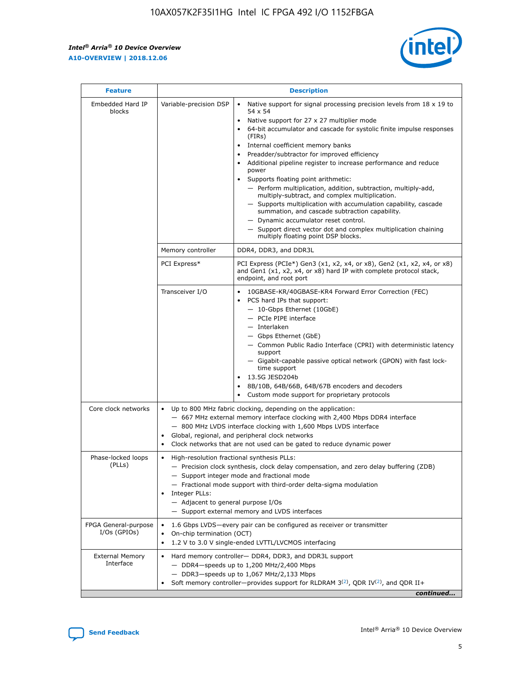$\mathsf{r}$ 



| <b>Feature</b>                         | <b>Description</b>                                                                                             |                                                                                                                                                                                                                                                                                                                                                                                                                                                                                                                                                                                                                                                                                                                                                                                                                                        |  |  |  |  |  |
|----------------------------------------|----------------------------------------------------------------------------------------------------------------|----------------------------------------------------------------------------------------------------------------------------------------------------------------------------------------------------------------------------------------------------------------------------------------------------------------------------------------------------------------------------------------------------------------------------------------------------------------------------------------------------------------------------------------------------------------------------------------------------------------------------------------------------------------------------------------------------------------------------------------------------------------------------------------------------------------------------------------|--|--|--|--|--|
| Embedded Hard IP<br>blocks             | Variable-precision DSP                                                                                         | Native support for signal processing precision levels from $18 \times 19$ to<br>54 x 54<br>Native support for 27 x 27 multiplier mode<br>64-bit accumulator and cascade for systolic finite impulse responses<br>(FIRs)<br>Internal coefficient memory banks<br>$\bullet$<br>Preadder/subtractor for improved efficiency<br>Additional pipeline register to increase performance and reduce<br>power<br>Supports floating point arithmetic:<br>- Perform multiplication, addition, subtraction, multiply-add,<br>multiply-subtract, and complex multiplication.<br>- Supports multiplication with accumulation capability, cascade<br>summation, and cascade subtraction capability.<br>- Dynamic accumulator reset control.<br>- Support direct vector dot and complex multiplication chaining<br>multiply floating point DSP blocks. |  |  |  |  |  |
|                                        | Memory controller                                                                                              | DDR4, DDR3, and DDR3L                                                                                                                                                                                                                                                                                                                                                                                                                                                                                                                                                                                                                                                                                                                                                                                                                  |  |  |  |  |  |
|                                        | PCI Express*                                                                                                   | PCI Express (PCIe*) Gen3 (x1, x2, x4, or x8), Gen2 (x1, x2, x4, or x8)<br>and Gen1 (x1, x2, x4, or x8) hard IP with complete protocol stack,<br>endpoint, and root port                                                                                                                                                                                                                                                                                                                                                                                                                                                                                                                                                                                                                                                                |  |  |  |  |  |
|                                        | Transceiver I/O                                                                                                | 10GBASE-KR/40GBASE-KR4 Forward Error Correction (FEC)<br>PCS hard IPs that support:<br>$\bullet$<br>- 10-Gbps Ethernet (10GbE)<br>- PCIe PIPE interface<br>$-$ Interlaken<br>- Gbps Ethernet (GbE)<br>- Common Public Radio Interface (CPRI) with deterministic latency<br>support<br>- Gigabit-capable passive optical network (GPON) with fast lock-<br>time support<br>13.5G JESD204b<br>$\bullet$<br>8B/10B, 64B/66B, 64B/67B encoders and decoders<br>Custom mode support for proprietary protocols                                                                                                                                                                                                                                                                                                                               |  |  |  |  |  |
| Core clock networks                    | $\bullet$<br>$\bullet$                                                                                         | Up to 800 MHz fabric clocking, depending on the application:<br>- 667 MHz external memory interface clocking with 2,400 Mbps DDR4 interface<br>- 800 MHz LVDS interface clocking with 1,600 Mbps LVDS interface<br>Global, regional, and peripheral clock networks<br>Clock networks that are not used can be gated to reduce dynamic power                                                                                                                                                                                                                                                                                                                                                                                                                                                                                            |  |  |  |  |  |
| Phase-locked loops<br>(PLLs)           | High-resolution fractional synthesis PLLs:<br>$\bullet$<br>Integer PLLs:<br>- Adjacent to general purpose I/Os | - Precision clock synthesis, clock delay compensation, and zero delay buffering (ZDB)<br>- Support integer mode and fractional mode<br>- Fractional mode support with third-order delta-sigma modulation<br>- Support external memory and LVDS interfaces                                                                                                                                                                                                                                                                                                                                                                                                                                                                                                                                                                              |  |  |  |  |  |
| FPGA General-purpose<br>$I/Os$ (GPIOs) | On-chip termination (OCT)                                                                                      | 1.6 Gbps LVDS-every pair can be configured as receiver or transmitter<br>1.2 V to 3.0 V single-ended LVTTL/LVCMOS interfacing                                                                                                                                                                                                                                                                                                                                                                                                                                                                                                                                                                                                                                                                                                          |  |  |  |  |  |
| <b>External Memory</b><br>Interface    |                                                                                                                | Hard memory controller- DDR4, DDR3, and DDR3L support<br>$-$ DDR4 $-$ speeds up to 1,200 MHz/2,400 Mbps<br>- DDR3-speeds up to 1,067 MHz/2,133 Mbps<br>Soft memory controller—provides support for RLDRAM $3^{(2)}$ , QDR IV $^{(2)}$ , and QDR II+<br>continued                                                                                                                                                                                                                                                                                                                                                                                                                                                                                                                                                                       |  |  |  |  |  |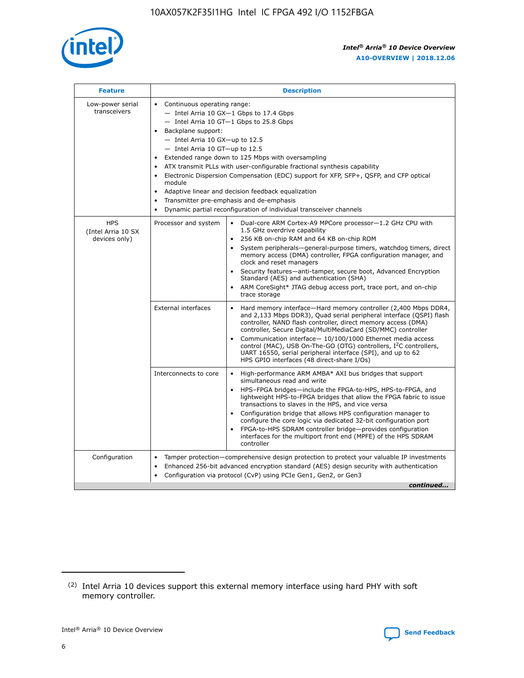

| <b>Feature</b>                                    | <b>Description</b>                                                                                                                                                                                                                                                                                                                                                                                                                                                                                                                                                                                                                                  |
|---------------------------------------------------|-----------------------------------------------------------------------------------------------------------------------------------------------------------------------------------------------------------------------------------------------------------------------------------------------------------------------------------------------------------------------------------------------------------------------------------------------------------------------------------------------------------------------------------------------------------------------------------------------------------------------------------------------------|
| Low-power serial<br>transceivers                  | • Continuous operating range:<br>- Intel Arria 10 GX-1 Gbps to 17.4 Gbps<br>- Intel Arria 10 GT-1 Gbps to 25.8 Gbps<br>Backplane support:<br>- Intel Arria 10 GX-up to 12.5<br>- Intel Arria 10 GT-up to 12.5<br>Extended range down to 125 Mbps with oversampling<br>ATX transmit PLLs with user-configurable fractional synthesis capability<br>Electronic Dispersion Compensation (EDC) support for XFP, SFP+, QSFP, and CFP optical<br>module<br>Adaptive linear and decision feedback equalization<br>$\bullet$<br>Transmitter pre-emphasis and de-emphasis<br>$\bullet$<br>Dynamic partial reconfiguration of individual transceiver channels |
| <b>HPS</b><br>(Intel Arria 10 SX<br>devices only) | Dual-core ARM Cortex-A9 MPCore processor-1.2 GHz CPU with<br>Processor and system<br>$\bullet$<br>1.5 GHz overdrive capability<br>256 KB on-chip RAM and 64 KB on-chip ROM<br>System peripherals—general-purpose timers, watchdog timers, direct<br>memory access (DMA) controller, FPGA configuration manager, and<br>clock and reset managers<br>Security features-anti-tamper, secure boot, Advanced Encryption<br>Standard (AES) and authentication (SHA)<br>ARM CoreSight* JTAG debug access port, trace port, and on-chip<br>trace storage                                                                                                    |
|                                                   | <b>External interfaces</b><br>Hard memory interface-Hard memory controller (2,400 Mbps DDR4,<br>$\bullet$<br>and 2,133 Mbps DDR3), Quad serial peripheral interface (QSPI) flash<br>controller, NAND flash controller, direct memory access (DMA)<br>controller, Secure Digital/MultiMediaCard (SD/MMC) controller<br>Communication interface-10/100/1000 Ethernet media access<br>control (MAC), USB On-The-GO (OTG) controllers, I <sup>2</sup> C controllers,<br>UART 16550, serial peripheral interface (SPI), and up to 62<br>HPS GPIO interfaces (48 direct-share I/Os)                                                                       |
|                                                   | High-performance ARM AMBA* AXI bus bridges that support<br>Interconnects to core<br>$\bullet$<br>simultaneous read and write<br>HPS-FPGA bridges-include the FPGA-to-HPS, HPS-to-FPGA, and<br>$\bullet$<br>lightweight HPS-to-FPGA bridges that allow the FPGA fabric to issue<br>transactions to slaves in the HPS, and vice versa<br>Configuration bridge that allows HPS configuration manager to<br>configure the core logic via dedicated 32-bit configuration port<br>FPGA-to-HPS SDRAM controller bridge-provides configuration<br>interfaces for the multiport front end (MPFE) of the HPS SDRAM<br>controller                              |
| Configuration                                     | Tamper protection—comprehensive design protection to protect your valuable IP investments<br>Enhanced 256-bit advanced encryption standard (AES) design security with authentication<br>٠<br>Configuration via protocol (CvP) using PCIe Gen1, Gen2, or Gen3<br>continued                                                                                                                                                                                                                                                                                                                                                                           |

<sup>(2)</sup> Intel Arria 10 devices support this external memory interface using hard PHY with soft memory controller.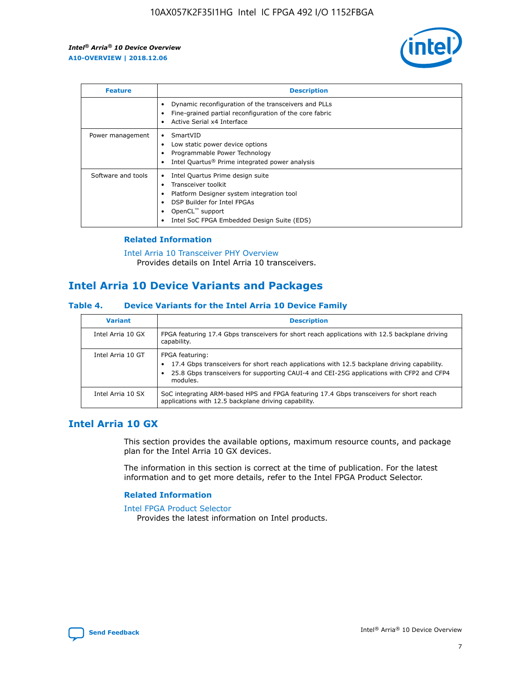

| <b>Feature</b>     | <b>Description</b>                                                                                                                                                                                               |
|--------------------|------------------------------------------------------------------------------------------------------------------------------------------------------------------------------------------------------------------|
|                    | Dynamic reconfiguration of the transceivers and PLLs<br>Fine-grained partial reconfiguration of the core fabric<br>Active Serial x4 Interface<br>$\bullet$                                                       |
| Power management   | SmartVID<br>Low static power device options<br>Programmable Power Technology<br>Intel Quartus <sup>®</sup> Prime integrated power analysis                                                                       |
| Software and tools | Intel Quartus Prime design suite<br>Transceiver toolkit<br>Platform Designer system integration tool<br>DSP Builder for Intel FPGAs<br>OpenCL <sup>™</sup> support<br>Intel SoC FPGA Embedded Design Suite (EDS) |

# **Related Information**

[Intel Arria 10 Transceiver PHY Overview](https://www.intel.com/content/www/us/en/programmable/documentation/nik1398707230472.html#nik1398706768037) Provides details on Intel Arria 10 transceivers.

# **Intel Arria 10 Device Variants and Packages**

#### **Table 4. Device Variants for the Intel Arria 10 Device Family**

| <b>Variant</b>    | <b>Description</b>                                                                                                                                                                                                     |
|-------------------|------------------------------------------------------------------------------------------------------------------------------------------------------------------------------------------------------------------------|
| Intel Arria 10 GX | FPGA featuring 17.4 Gbps transceivers for short reach applications with 12.5 backplane driving<br>capability.                                                                                                          |
| Intel Arria 10 GT | FPGA featuring:<br>17.4 Gbps transceivers for short reach applications with 12.5 backplane driving capability.<br>25.8 Gbps transceivers for supporting CAUI-4 and CEI-25G applications with CFP2 and CFP4<br>modules. |
| Intel Arria 10 SX | SoC integrating ARM-based HPS and FPGA featuring 17.4 Gbps transceivers for short reach<br>applications with 12.5 backplane driving capability.                                                                        |

# **Intel Arria 10 GX**

This section provides the available options, maximum resource counts, and package plan for the Intel Arria 10 GX devices.

The information in this section is correct at the time of publication. For the latest information and to get more details, refer to the Intel FPGA Product Selector.

#### **Related Information**

#### [Intel FPGA Product Selector](http://www.altera.com/products/selector/psg-selector.html) Provides the latest information on Intel products.

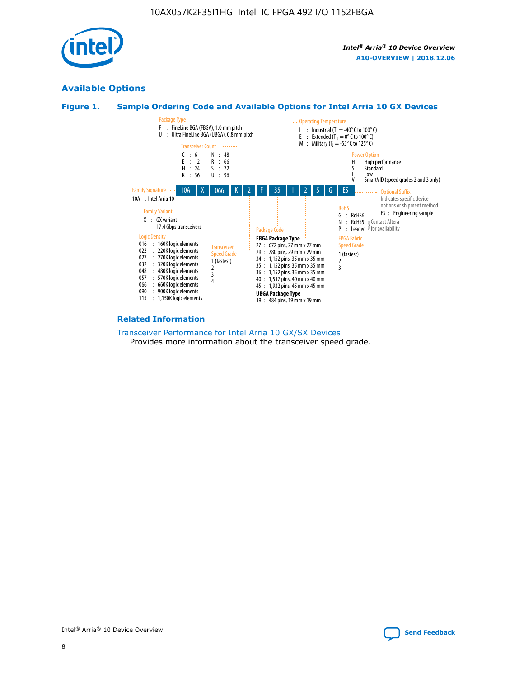

# **Available Options**





#### **Related Information**

[Transceiver Performance for Intel Arria 10 GX/SX Devices](https://www.intel.com/content/www/us/en/programmable/documentation/mcn1413182292568.html#mcn1413213965502) Provides more information about the transceiver speed grade.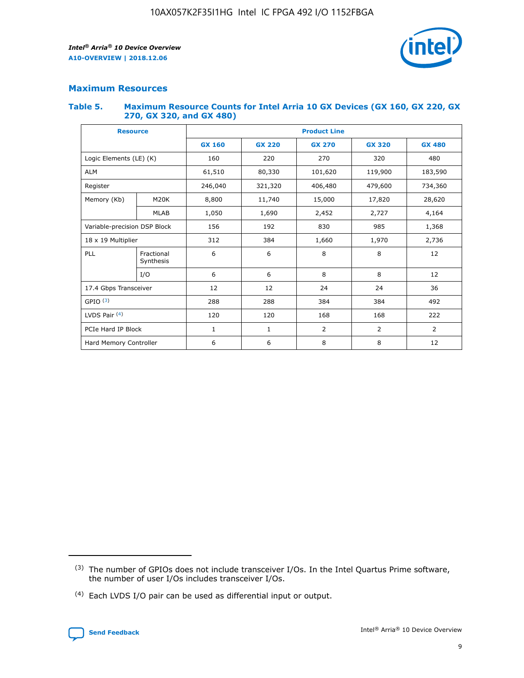

# **Maximum Resources**

#### **Table 5. Maximum Resource Counts for Intel Arria 10 GX Devices (GX 160, GX 220, GX 270, GX 320, and GX 480)**

| <b>Resource</b>         |                                                          | <b>Product Line</b> |                                                 |         |                |                |  |  |  |
|-------------------------|----------------------------------------------------------|---------------------|-------------------------------------------------|---------|----------------|----------------|--|--|--|
|                         |                                                          | <b>GX 160</b>       | <b>GX 220</b><br><b>GX 270</b><br><b>GX 320</b> |         |                | <b>GX 480</b>  |  |  |  |
| Logic Elements (LE) (K) |                                                          | 160                 | 220                                             | 270     | 320            | 480            |  |  |  |
| <b>ALM</b>              |                                                          | 61,510              | 80,330                                          | 101,620 | 119,900        | 183,590        |  |  |  |
| Register                |                                                          | 246,040             | 321,320                                         | 406,480 | 479,600        | 734,360        |  |  |  |
| Memory (Kb)             | M <sub>20</sub> K                                        | 8,800               | 11,740                                          | 15,000  | 17,820         | 28,620         |  |  |  |
| <b>MLAB</b>             |                                                          | 1,050               | 1,690                                           | 2,452   | 2,727          | 4,164          |  |  |  |
|                         | Variable-precision DSP Block<br>156<br>192<br>830<br>985 |                     |                                                 |         | 1,368          |                |  |  |  |
| 18 x 19 Multiplier      |                                                          | 312                 | 384                                             | 1,660   | 1,970          | 2,736          |  |  |  |
| PLL                     | Fractional<br>Synthesis                                  | 6                   | 6                                               | 8       | 8              | 12             |  |  |  |
|                         | I/O                                                      | 6                   | 6                                               | 8       | 8              | 12             |  |  |  |
| 17.4 Gbps Transceiver   |                                                          | 12                  | 12                                              | 24      | 24             | 36             |  |  |  |
| GPIO <sup>(3)</sup>     |                                                          | 288                 | 288                                             | 384     | 384            | 492            |  |  |  |
| LVDS Pair $(4)$         |                                                          | 120                 | 120                                             | 168     | 168            | 222            |  |  |  |
| PCIe Hard IP Block      |                                                          | 1                   | 1                                               | 2       | $\overline{2}$ | $\overline{2}$ |  |  |  |
| Hard Memory Controller  |                                                          | 6                   | 6                                               | 8       | 8              | 12             |  |  |  |

<sup>(4)</sup> Each LVDS I/O pair can be used as differential input or output.



<sup>(3)</sup> The number of GPIOs does not include transceiver I/Os. In the Intel Quartus Prime software, the number of user I/Os includes transceiver I/Os.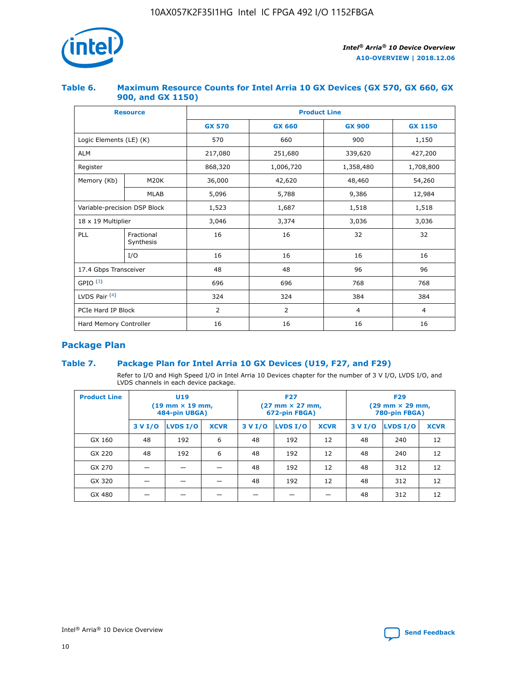

## **Table 6. Maximum Resource Counts for Intel Arria 10 GX Devices (GX 570, GX 660, GX 900, and GX 1150)**

|                              | <b>Resource</b>         | <b>Product Line</b> |                |                  |                |  |  |  |
|------------------------------|-------------------------|---------------------|----------------|------------------|----------------|--|--|--|
|                              |                         | <b>GX 570</b>       | <b>GX 660</b>  | <b>GX 900</b>    | <b>GX 1150</b> |  |  |  |
| Logic Elements (LE) (K)      |                         | 570                 | 660            | 900              | 1,150          |  |  |  |
| <b>ALM</b>                   |                         | 217,080             | 251,680        | 339,620          | 427,200        |  |  |  |
| Register                     |                         | 868,320             | 1,006,720      | 1,358,480        | 1,708,800      |  |  |  |
| Memory (Kb)                  | <b>M20K</b>             | 36,000              | 42,620         | 48,460<br>54,260 |                |  |  |  |
|                              | <b>MLAB</b>             | 5,096               | 5,788          | 9,386            | 12,984         |  |  |  |
| Variable-precision DSP Block |                         | 1,523               | 1,687          | 1,518            | 1,518          |  |  |  |
| 18 x 19 Multiplier           |                         | 3,046               | 3,374          | 3,036            | 3,036          |  |  |  |
| PLL                          | Fractional<br>Synthesis | 16                  | 16             | 32               | 32             |  |  |  |
|                              | I/O                     | 16                  | 16             | 16               | 16             |  |  |  |
| 17.4 Gbps Transceiver        |                         | 48                  | 48             | 96               | 96             |  |  |  |
| GPIO <sup>(3)</sup>          |                         | 696                 | 696            | 768              | 768            |  |  |  |
| LVDS Pair $(4)$              |                         | 324                 | 324            | 384              | 384            |  |  |  |
| PCIe Hard IP Block           |                         | 2                   | $\overline{2}$ | $\overline{4}$   | $\overline{4}$ |  |  |  |
| Hard Memory Controller       |                         | 16                  | 16             | 16               | 16             |  |  |  |

# **Package Plan**

# **Table 7. Package Plan for Intel Arria 10 GX Devices (U19, F27, and F29)**

Refer to I/O and High Speed I/O in Intel Arria 10 Devices chapter for the number of 3 V I/O, LVDS I/O, and LVDS channels in each device package.

| <b>Product Line</b> | U <sub>19</sub><br>$(19 \text{ mm} \times 19 \text{ mm})$<br>484-pin UBGA) |          |             |         | <b>F27</b><br>(27 mm × 27 mm,<br>672-pin FBGA) |             | <b>F29</b><br>(29 mm × 29 mm,<br>780-pin FBGA) |          |             |  |
|---------------------|----------------------------------------------------------------------------|----------|-------------|---------|------------------------------------------------|-------------|------------------------------------------------|----------|-------------|--|
|                     | 3 V I/O                                                                    | LVDS I/O | <b>XCVR</b> | 3 V I/O | LVDS I/O                                       | <b>XCVR</b> | 3 V I/O                                        | LVDS I/O | <b>XCVR</b> |  |
| GX 160              | 48                                                                         | 192      | 6           | 48      | 192                                            | 12          | 48                                             | 240      | 12          |  |
| GX 220              | 48                                                                         | 192      | 6           | 48      | 192                                            | 12          | 48                                             | 240      | 12          |  |
| GX 270              |                                                                            |          |             | 48      | 192                                            | 12          | 48                                             | 312      | 12          |  |
| GX 320              |                                                                            |          |             | 48      | 192                                            | 12          | 48                                             | 312      | 12          |  |
| GX 480              |                                                                            |          |             |         |                                                |             | 48                                             | 312      | 12          |  |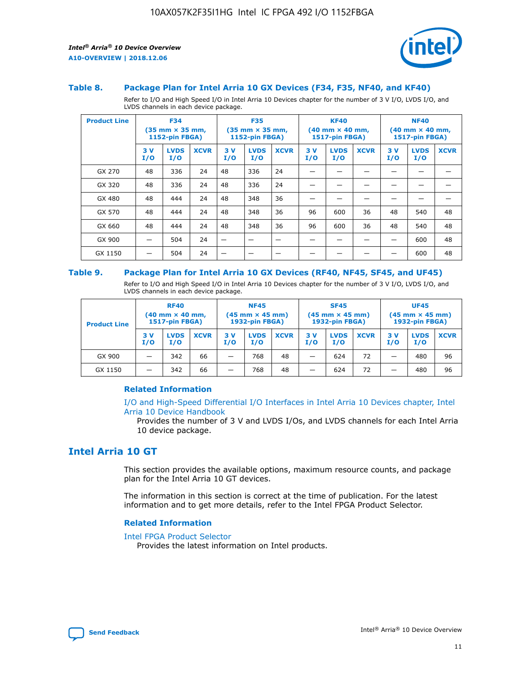

#### **Table 8. Package Plan for Intel Arria 10 GX Devices (F34, F35, NF40, and KF40)**

Refer to I/O and High Speed I/O in Intel Arria 10 Devices chapter for the number of 3 V I/O, LVDS I/O, and LVDS channels in each device package.

| <b>Product Line</b> | <b>F34</b><br>$(35 \text{ mm} \times 35 \text{ mm})$<br>1152-pin FBGA) |                    | <b>F35</b><br>$(35 \text{ mm} \times 35 \text{ mm})$<br><b>1152-pin FBGA)</b> |           | <b>KF40</b><br>$(40$ mm $\times$ 40 mm,<br>1517-pin FBGA) |             |           | <b>NF40</b><br>$(40 \text{ mm} \times 40 \text{ mm})$<br><b>1517-pin FBGA)</b> |             |            |                    |             |
|---------------------|------------------------------------------------------------------------|--------------------|-------------------------------------------------------------------------------|-----------|-----------------------------------------------------------|-------------|-----------|--------------------------------------------------------------------------------|-------------|------------|--------------------|-------------|
|                     | 3V<br>I/O                                                              | <b>LVDS</b><br>I/O | <b>XCVR</b>                                                                   | 3V<br>I/O | <b>LVDS</b><br>I/O                                        | <b>XCVR</b> | 3V<br>I/O | <b>LVDS</b><br>I/O                                                             | <b>XCVR</b> | 3 V<br>I/O | <b>LVDS</b><br>I/O | <b>XCVR</b> |
| GX 270              | 48                                                                     | 336                | 24                                                                            | 48        | 336                                                       | 24          |           |                                                                                |             |            |                    |             |
| GX 320              | 48                                                                     | 336                | 24                                                                            | 48        | 336                                                       | 24          |           |                                                                                |             |            |                    |             |
| GX 480              | 48                                                                     | 444                | 24                                                                            | 48        | 348                                                       | 36          |           |                                                                                |             |            |                    |             |
| GX 570              | 48                                                                     | 444                | 24                                                                            | 48        | 348                                                       | 36          | 96        | 600                                                                            | 36          | 48         | 540                | 48          |
| GX 660              | 48                                                                     | 444                | 24                                                                            | 48        | 348                                                       | 36          | 96        | 600                                                                            | 36          | 48         | 540                | 48          |
| GX 900              |                                                                        | 504                | 24                                                                            | –         |                                                           |             |           |                                                                                |             |            | 600                | 48          |
| GX 1150             |                                                                        | 504                | 24                                                                            |           |                                                           |             |           |                                                                                |             |            | 600                | 48          |

#### **Table 9. Package Plan for Intel Arria 10 GX Devices (RF40, NF45, SF45, and UF45)**

Refer to I/O and High Speed I/O in Intel Arria 10 Devices chapter for the number of 3 V I/O, LVDS I/O, and LVDS channels in each device package.

| <b>Product Line</b> | <b>RF40</b><br>$(40 \text{ mm} \times 40 \text{ mm})$<br>1517-pin FBGA) |                    | <b>NF45</b><br>$(45 \text{ mm} \times 45 \text{ mm})$<br><b>1932-pin FBGA)</b> |           |                    | <b>SF45</b><br>$(45 \text{ mm} \times 45 \text{ mm})$<br><b>1932-pin FBGA)</b> |            |                    | <b>UF45</b><br>$(45 \text{ mm} \times 45 \text{ mm})$<br>1932-pin FBGA) |           |                    |             |
|---------------------|-------------------------------------------------------------------------|--------------------|--------------------------------------------------------------------------------|-----------|--------------------|--------------------------------------------------------------------------------|------------|--------------------|-------------------------------------------------------------------------|-----------|--------------------|-------------|
|                     | 3V<br>I/O                                                               | <b>LVDS</b><br>I/O | <b>XCVR</b>                                                                    | 3V<br>I/O | <b>LVDS</b><br>I/O | <b>XCVR</b>                                                                    | 3 V<br>I/O | <b>LVDS</b><br>I/O | <b>XCVR</b>                                                             | 3V<br>I/O | <b>LVDS</b><br>I/O | <b>XCVR</b> |
| GX 900              | -                                                                       | 342                | 66                                                                             | -         | 768                | 48                                                                             | -          | 624                | 72                                                                      | -         | 480                | 96          |
| GX 1150             | -                                                                       | 342                | 66                                                                             | -         | 768                | 48                                                                             |            | 624                | 72                                                                      |           | 480                | 96          |

## **Related Information**

[I/O and High-Speed Differential I/O Interfaces in Intel Arria 10 Devices chapter, Intel](https://www.intel.com/content/www/us/en/programmable/documentation/sam1403482614086.html#sam1403482030321) [Arria 10 Device Handbook](https://www.intel.com/content/www/us/en/programmable/documentation/sam1403482614086.html#sam1403482030321)

Provides the number of 3 V and LVDS I/Os, and LVDS channels for each Intel Arria 10 device package.

# **Intel Arria 10 GT**

This section provides the available options, maximum resource counts, and package plan for the Intel Arria 10 GT devices.

The information in this section is correct at the time of publication. For the latest information and to get more details, refer to the Intel FPGA Product Selector.

#### **Related Information**

#### [Intel FPGA Product Selector](http://www.altera.com/products/selector/psg-selector.html)

Provides the latest information on Intel products.

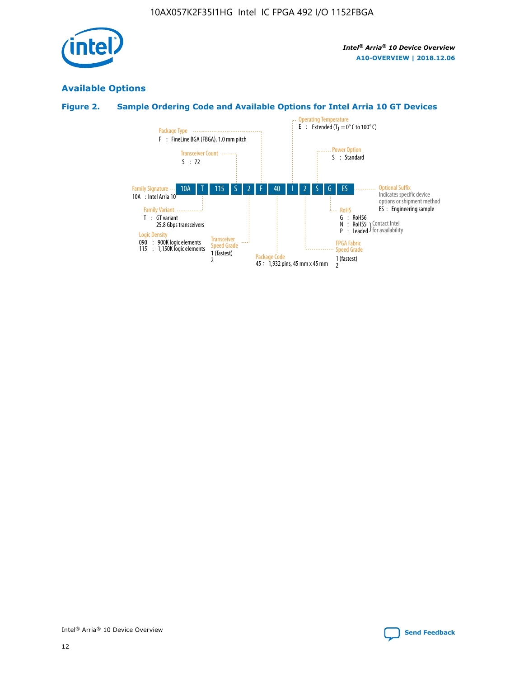

# **Available Options**

# **Figure 2. Sample Ordering Code and Available Options for Intel Arria 10 GT Devices**

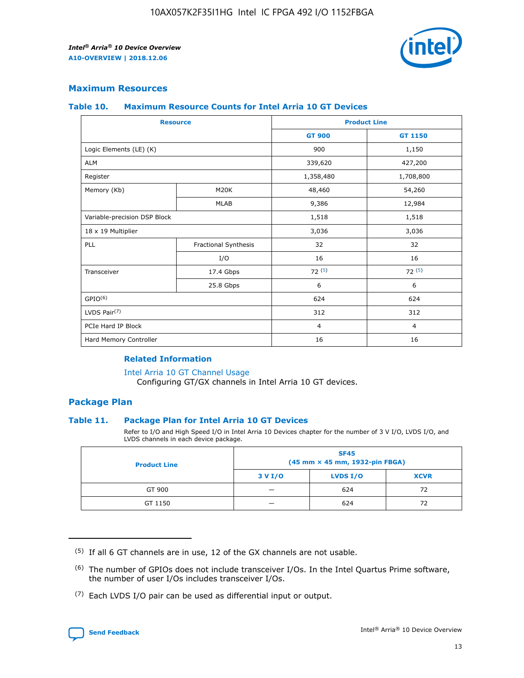

## **Maximum Resources**

#### **Table 10. Maximum Resource Counts for Intel Arria 10 GT Devices**

| <b>Resource</b>              |                      | <b>Product Line</b> |                |  |
|------------------------------|----------------------|---------------------|----------------|--|
|                              |                      | <b>GT 900</b>       | <b>GT 1150</b> |  |
| Logic Elements (LE) (K)      |                      | 900                 | 1,150          |  |
| <b>ALM</b>                   |                      | 339,620             | 427,200        |  |
| Register                     |                      | 1,358,480           | 1,708,800      |  |
| Memory (Kb)                  | M <sub>20</sub> K    | 48,460              | 54,260         |  |
|                              | <b>MLAB</b>          | 9,386               | 12,984         |  |
| Variable-precision DSP Block |                      | 1,518               | 1,518          |  |
| 18 x 19 Multiplier           |                      | 3,036               | 3,036          |  |
| PLL                          | Fractional Synthesis | 32                  | 32             |  |
|                              | I/O                  | 16                  | 16             |  |
| Transceiver                  | 17.4 Gbps            | 72(5)               | 72(5)          |  |
|                              | 25.8 Gbps            | 6                   | 6              |  |
| GPIO <sup>(6)</sup>          |                      | 624                 | 624            |  |
| LVDS Pair $(7)$              |                      | 312                 | 312            |  |
| PCIe Hard IP Block           |                      | $\overline{4}$      | $\overline{4}$ |  |
| Hard Memory Controller       |                      | 16                  | 16             |  |

## **Related Information**

#### [Intel Arria 10 GT Channel Usage](https://www.intel.com/content/www/us/en/programmable/documentation/nik1398707230472.html#nik1398707008178)

Configuring GT/GX channels in Intel Arria 10 GT devices.

## **Package Plan**

## **Table 11. Package Plan for Intel Arria 10 GT Devices**

Refer to I/O and High Speed I/O in Intel Arria 10 Devices chapter for the number of 3 V I/O, LVDS I/O, and LVDS channels in each device package.

| <b>Product Line</b> | <b>SF45</b><br>(45 mm × 45 mm, 1932-pin FBGA) |                 |             |  |  |  |
|---------------------|-----------------------------------------------|-----------------|-------------|--|--|--|
|                     | 3 V I/O                                       | <b>LVDS I/O</b> | <b>XCVR</b> |  |  |  |
| GT 900              |                                               | 624             | 72          |  |  |  |
| GT 1150             |                                               | 624             | 72          |  |  |  |

<sup>(7)</sup> Each LVDS I/O pair can be used as differential input or output.



 $(5)$  If all 6 GT channels are in use, 12 of the GX channels are not usable.

<sup>(6)</sup> The number of GPIOs does not include transceiver I/Os. In the Intel Quartus Prime software, the number of user I/Os includes transceiver I/Os.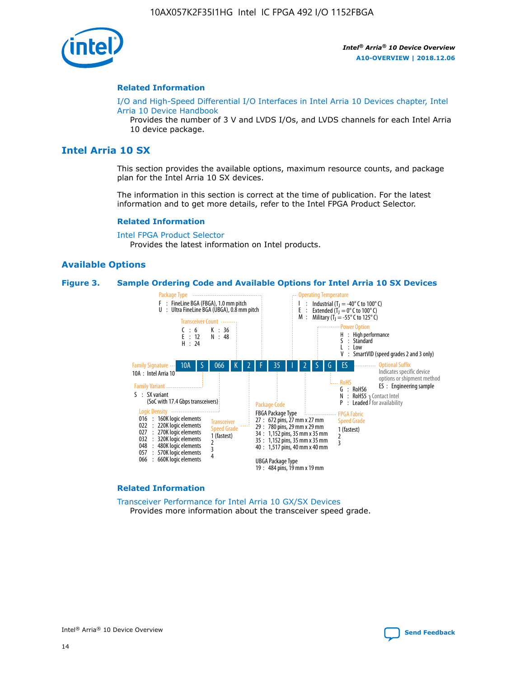

## **Related Information**

[I/O and High-Speed Differential I/O Interfaces in Intel Arria 10 Devices chapter, Intel](https://www.intel.com/content/www/us/en/programmable/documentation/sam1403482614086.html#sam1403482030321) [Arria 10 Device Handbook](https://www.intel.com/content/www/us/en/programmable/documentation/sam1403482614086.html#sam1403482030321)

Provides the number of 3 V and LVDS I/Os, and LVDS channels for each Intel Arria 10 device package.

# **Intel Arria 10 SX**

This section provides the available options, maximum resource counts, and package plan for the Intel Arria 10 SX devices.

The information in this section is correct at the time of publication. For the latest information and to get more details, refer to the Intel FPGA Product Selector.

#### **Related Information**

[Intel FPGA Product Selector](http://www.altera.com/products/selector/psg-selector.html) Provides the latest information on Intel products.

## **Available Options**

#### **Figure 3. Sample Ordering Code and Available Options for Intel Arria 10 SX Devices**



#### **Related Information**

[Transceiver Performance for Intel Arria 10 GX/SX Devices](https://www.intel.com/content/www/us/en/programmable/documentation/mcn1413182292568.html#mcn1413213965502) Provides more information about the transceiver speed grade.

Intel® Arria® 10 Device Overview **[Send Feedback](mailto:FPGAtechdocfeedback@intel.com?subject=Feedback%20on%20Intel%20Arria%2010%20Device%20Overview%20(A10-OVERVIEW%202018.12.06)&body=We%20appreciate%20your%20feedback.%20In%20your%20comments,%20also%20specify%20the%20page%20number%20or%20paragraph.%20Thank%20you.)**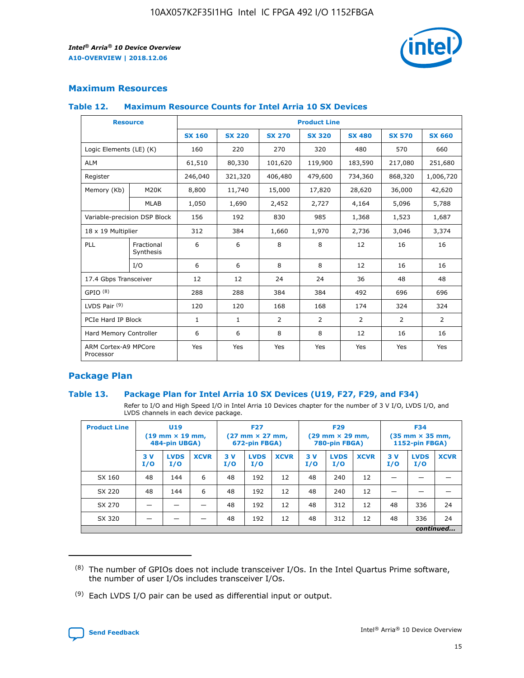

# **Maximum Resources**

## **Table 12. Maximum Resource Counts for Intel Arria 10 SX Devices**

| <b>Resource</b>                   |                         |               |               |                | <b>Product Line</b> |                |                |                |
|-----------------------------------|-------------------------|---------------|---------------|----------------|---------------------|----------------|----------------|----------------|
|                                   |                         | <b>SX 160</b> | <b>SX 220</b> | <b>SX 270</b>  | <b>SX 320</b>       | <b>SX 480</b>  | <b>SX 570</b>  | <b>SX 660</b>  |
| Logic Elements (LE) (K)           |                         | 160           | 220           | 270            | 320                 | 480            | 570            | 660            |
| <b>ALM</b>                        |                         | 61,510        | 80,330        | 101,620        | 119,900             | 183,590        | 217,080        | 251,680        |
| Register                          |                         | 246,040       | 321,320       | 406,480        | 479,600             | 734,360        | 868,320        | 1,006,720      |
| Memory (Kb)                       | <b>M20K</b>             | 8,800         | 11,740        | 15,000         | 17,820              | 28,620         | 36,000         | 42,620         |
|                                   | <b>MLAB</b>             | 1,050         | 1,690         | 2,452          | 2,727               | 4,164          | 5,096          | 5,788          |
| Variable-precision DSP Block      |                         | 156           | 192           | 830            | 985                 | 1,368          | 1,523          | 1,687          |
| 18 x 19 Multiplier                |                         | 312           | 384           | 1,660          | 1,970               | 2,736          | 3,046          | 3,374          |
| PLL                               | Fractional<br>Synthesis | 6             | 6             | 8              | 8                   | 12             | 16             | 16             |
|                                   | I/O                     | 6             | 6             | 8              | 8                   | 12             | 16             | 16             |
| 17.4 Gbps Transceiver             |                         | 12            | 12            | 24             | 24                  | 36             | 48             | 48             |
| GPIO <sup>(8)</sup>               |                         | 288           | 288           | 384            | 384                 | 492            | 696            | 696            |
| LVDS Pair $(9)$                   |                         | 120           | 120           | 168            | 168                 | 174            | 324            | 324            |
| PCIe Hard IP Block                |                         | $\mathbf{1}$  | $\mathbf{1}$  | $\overline{2}$ | $\overline{2}$      | $\overline{2}$ | $\overline{2}$ | $\overline{2}$ |
| Hard Memory Controller            |                         | 6             | 6             | 8              | 8                   | 12             | 16             | 16             |
| ARM Cortex-A9 MPCore<br>Processor |                         | Yes           | Yes           | Yes            | Yes                 | Yes            | Yes            | Yes            |

# **Package Plan**

## **Table 13. Package Plan for Intel Arria 10 SX Devices (U19, F27, F29, and F34)**

Refer to I/O and High Speed I/O in Intel Arria 10 Devices chapter for the number of 3 V I/O, LVDS I/O, and LVDS channels in each device package.

| <b>Product Line</b> | <b>U19</b><br>$(19 \text{ mm} \times 19 \text{ mm})$<br>484-pin UBGA) |                    | <b>F27</b><br>$(27 \text{ mm} \times 27 \text{ mm})$<br>672-pin FBGA) |           | <b>F29</b><br>$(29$ mm $\times$ 29 mm,<br>780-pin FBGA) |             |            | <b>F34</b><br>$(35 \text{ mm} \times 35 \text{ mm})$<br>1152-pin FBGA) |             |           |                    |             |
|---------------------|-----------------------------------------------------------------------|--------------------|-----------------------------------------------------------------------|-----------|---------------------------------------------------------|-------------|------------|------------------------------------------------------------------------|-------------|-----------|--------------------|-------------|
|                     | 3V<br>I/O                                                             | <b>LVDS</b><br>I/O | <b>XCVR</b>                                                           | 3V<br>I/O | <b>LVDS</b><br>I/O                                      | <b>XCVR</b> | 3 V<br>I/O | <b>LVDS</b><br>I/O                                                     | <b>XCVR</b> | 3V<br>I/O | <b>LVDS</b><br>I/O | <b>XCVR</b> |
| SX 160              | 48                                                                    | 144                | 6                                                                     | 48        | 192                                                     | 12          | 48         | 240                                                                    | 12          | –         |                    |             |
| SX 220              | 48                                                                    | 144                | 6                                                                     | 48        | 192                                                     | 12          | 48         | 240                                                                    | 12          |           |                    |             |
| SX 270              |                                                                       |                    |                                                                       | 48        | 192                                                     | 12          | 48         | 312                                                                    | 12          | 48        | 336                | 24          |
| SX 320              |                                                                       |                    |                                                                       | 48        | 192                                                     | 12          | 48         | 312                                                                    | 12          | 48        | 336                | 24          |
|                     | continued                                                             |                    |                                                                       |           |                                                         |             |            |                                                                        |             |           |                    |             |

 $(8)$  The number of GPIOs does not include transceiver I/Os. In the Intel Quartus Prime software, the number of user I/Os includes transceiver I/Os.

 $(9)$  Each LVDS I/O pair can be used as differential input or output.

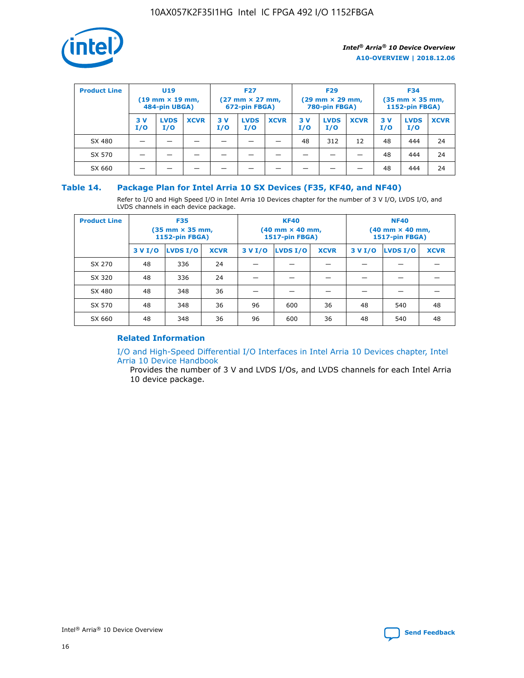

| <b>Product Line</b> | U <sub>19</sub><br>$(19 \text{ mm} \times 19 \text{ mm})$<br>484-pin UBGA) |                    | <b>F27</b><br>$(27 \text{ mm} \times 27 \text{ mm})$<br>672-pin FBGA) |           | <b>F29</b><br>$(29 \text{ mm} \times 29 \text{ mm})$<br>780-pin FBGA) |             |           | <b>F34</b><br>$(35 \text{ mm} \times 35 \text{ mm})$<br><b>1152-pin FBGA)</b> |             |           |                    |             |
|---------------------|----------------------------------------------------------------------------|--------------------|-----------------------------------------------------------------------|-----------|-----------------------------------------------------------------------|-------------|-----------|-------------------------------------------------------------------------------|-------------|-----------|--------------------|-------------|
|                     | 3 V<br>I/O                                                                 | <b>LVDS</b><br>I/O | <b>XCVR</b>                                                           | 3V<br>I/O | <b>LVDS</b><br>I/O                                                    | <b>XCVR</b> | 3V<br>I/O | <b>LVDS</b><br>I/O                                                            | <b>XCVR</b> | 3V<br>I/O | <b>LVDS</b><br>I/O | <b>XCVR</b> |
| SX 480              |                                                                            |                    |                                                                       |           |                                                                       |             | 48        | 312                                                                           | 12          | 48        | 444                | 24          |
| SX 570              |                                                                            |                    |                                                                       |           |                                                                       |             |           |                                                                               |             | 48        | 444                | 24          |
| SX 660              |                                                                            |                    |                                                                       |           |                                                                       |             |           |                                                                               |             | 48        | 444                | 24          |

## **Table 14. Package Plan for Intel Arria 10 SX Devices (F35, KF40, and NF40)**

Refer to I/O and High Speed I/O in Intel Arria 10 Devices chapter for the number of 3 V I/O, LVDS I/O, and LVDS channels in each device package.

| <b>Product Line</b> | <b>F35</b><br>$(35 \text{ mm} \times 35 \text{ mm})$<br><b>1152-pin FBGA)</b> |          |             |                                           | <b>KF40</b><br>(40 mm × 40 mm,<br>1517-pin FBGA) |    | <b>NF40</b><br>$(40 \text{ mm} \times 40 \text{ mm})$<br>1517-pin FBGA) |          |             |  |
|---------------------|-------------------------------------------------------------------------------|----------|-------------|-------------------------------------------|--------------------------------------------------|----|-------------------------------------------------------------------------|----------|-------------|--|
|                     | 3 V I/O                                                                       | LVDS I/O | <b>XCVR</b> | <b>LVDS I/O</b><br><b>XCVR</b><br>3 V I/O |                                                  |    | 3 V I/O                                                                 | LVDS I/O | <b>XCVR</b> |  |
| SX 270              | 48                                                                            | 336      | 24          |                                           |                                                  |    |                                                                         |          |             |  |
| SX 320              | 48                                                                            | 336      | 24          |                                           |                                                  |    |                                                                         |          |             |  |
| SX 480              | 48                                                                            | 348      | 36          |                                           |                                                  |    |                                                                         |          |             |  |
| SX 570              | 48                                                                            | 348      | 36          | 96                                        | 600                                              | 36 | 48                                                                      | 540      | 48          |  |
| SX 660              | 48                                                                            | 348      | 36          | 96                                        | 600                                              | 36 | 48                                                                      | 540      | 48          |  |

# **Related Information**

[I/O and High-Speed Differential I/O Interfaces in Intel Arria 10 Devices chapter, Intel](https://www.intel.com/content/www/us/en/programmable/documentation/sam1403482614086.html#sam1403482030321) [Arria 10 Device Handbook](https://www.intel.com/content/www/us/en/programmable/documentation/sam1403482614086.html#sam1403482030321)

Provides the number of 3 V and LVDS I/Os, and LVDS channels for each Intel Arria 10 device package.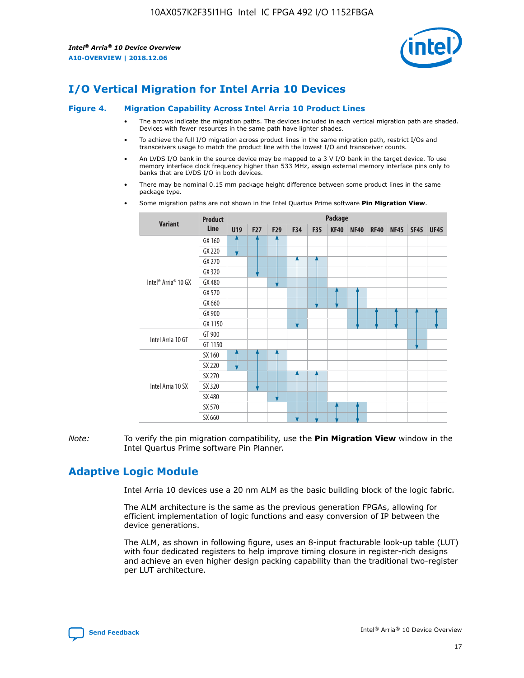

# **I/O Vertical Migration for Intel Arria 10 Devices**

#### **Figure 4. Migration Capability Across Intel Arria 10 Product Lines**

- The arrows indicate the migration paths. The devices included in each vertical migration path are shaded. Devices with fewer resources in the same path have lighter shades.
- To achieve the full I/O migration across product lines in the same migration path, restrict I/Os and transceivers usage to match the product line with the lowest I/O and transceiver counts.
- An LVDS I/O bank in the source device may be mapped to a 3 V I/O bank in the target device. To use memory interface clock frequency higher than 533 MHz, assign external memory interface pins only to banks that are LVDS I/O in both devices.
- There may be nominal 0.15 mm package height difference between some product lines in the same package type.
	- **Variant Product Line Package U19 F27 F29 F34 F35 KF40 NF40 RF40 NF45 SF45 UF45** Intel® Arria® 10 GX GX 160 GX 220 GX 270 GX 320 GX 480 GX 570 GX 660 GX 900 GX 1150 Intel Arria 10 GT GT 900 GT 1150 Intel Arria 10 SX SX 160 SX 220 SX 270 SX 320 SX 480 SX 570 SX 660
- Some migration paths are not shown in the Intel Quartus Prime software **Pin Migration View**.

*Note:* To verify the pin migration compatibility, use the **Pin Migration View** window in the Intel Quartus Prime software Pin Planner.

# **Adaptive Logic Module**

Intel Arria 10 devices use a 20 nm ALM as the basic building block of the logic fabric.

The ALM architecture is the same as the previous generation FPGAs, allowing for efficient implementation of logic functions and easy conversion of IP between the device generations.

The ALM, as shown in following figure, uses an 8-input fracturable look-up table (LUT) with four dedicated registers to help improve timing closure in register-rich designs and achieve an even higher design packing capability than the traditional two-register per LUT architecture.

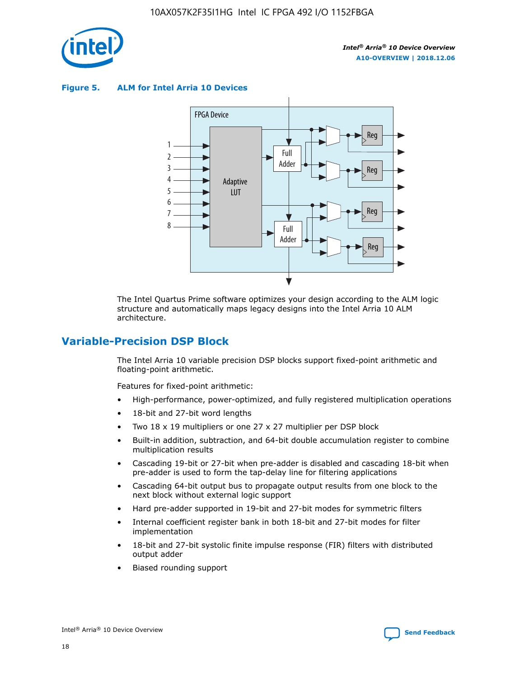

**Figure 5. ALM for Intel Arria 10 Devices**



The Intel Quartus Prime software optimizes your design according to the ALM logic structure and automatically maps legacy designs into the Intel Arria 10 ALM architecture.

# **Variable-Precision DSP Block**

The Intel Arria 10 variable precision DSP blocks support fixed-point arithmetic and floating-point arithmetic.

Features for fixed-point arithmetic:

- High-performance, power-optimized, and fully registered multiplication operations
- 18-bit and 27-bit word lengths
- Two 18 x 19 multipliers or one 27 x 27 multiplier per DSP block
- Built-in addition, subtraction, and 64-bit double accumulation register to combine multiplication results
- Cascading 19-bit or 27-bit when pre-adder is disabled and cascading 18-bit when pre-adder is used to form the tap-delay line for filtering applications
- Cascading 64-bit output bus to propagate output results from one block to the next block without external logic support
- Hard pre-adder supported in 19-bit and 27-bit modes for symmetric filters
- Internal coefficient register bank in both 18-bit and 27-bit modes for filter implementation
- 18-bit and 27-bit systolic finite impulse response (FIR) filters with distributed output adder
- Biased rounding support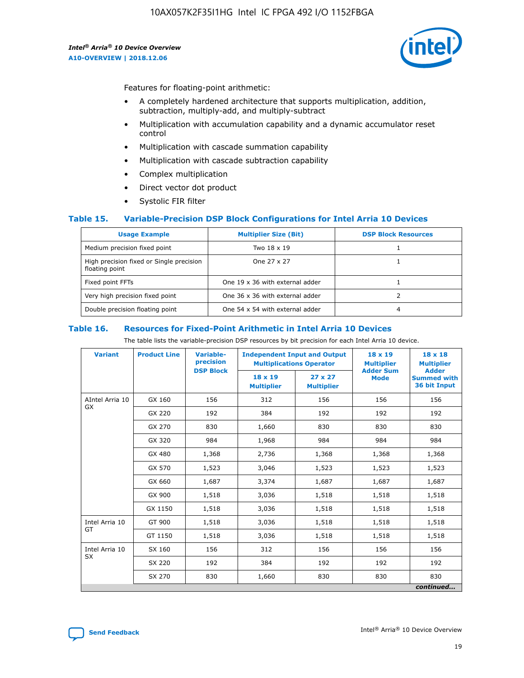

Features for floating-point arithmetic:

- A completely hardened architecture that supports multiplication, addition, subtraction, multiply-add, and multiply-subtract
- Multiplication with accumulation capability and a dynamic accumulator reset control
- Multiplication with cascade summation capability
- Multiplication with cascade subtraction capability
- Complex multiplication
- Direct vector dot product
- Systolic FIR filter

## **Table 15. Variable-Precision DSP Block Configurations for Intel Arria 10 Devices**

| <b>Usage Example</b>                                       | <b>Multiplier Size (Bit)</b>    | <b>DSP Block Resources</b> |
|------------------------------------------------------------|---------------------------------|----------------------------|
| Medium precision fixed point                               | Two 18 x 19                     |                            |
| High precision fixed or Single precision<br>floating point | One 27 x 27                     |                            |
| Fixed point FFTs                                           | One 19 x 36 with external adder |                            |
| Very high precision fixed point                            | One 36 x 36 with external adder |                            |
| Double precision floating point                            | One 54 x 54 with external adder | 4                          |

#### **Table 16. Resources for Fixed-Point Arithmetic in Intel Arria 10 Devices**

The table lists the variable-precision DSP resources by bit precision for each Intel Arria 10 device.

| <b>Variant</b>  | <b>Product Line</b> | Variable-<br>precision<br><b>DSP Block</b> | <b>Independent Input and Output</b><br><b>Multiplications Operator</b> |                                     | 18 x 19<br><b>Multiplier</b><br><b>Adder Sum</b> | $18 \times 18$<br><b>Multiplier</b><br><b>Adder</b> |
|-----------------|---------------------|--------------------------------------------|------------------------------------------------------------------------|-------------------------------------|--------------------------------------------------|-----------------------------------------------------|
|                 |                     |                                            | 18 x 19<br><b>Multiplier</b>                                           | $27 \times 27$<br><b>Multiplier</b> | <b>Mode</b>                                      | <b>Summed with</b><br>36 bit Input                  |
| AIntel Arria 10 | GX 160              | 156                                        | 312                                                                    | 156                                 | 156                                              | 156                                                 |
| GX              | GX 220              | 192                                        | 384                                                                    | 192                                 | 192                                              | 192                                                 |
|                 | GX 270              | 830                                        | 1,660                                                                  | 830                                 | 830                                              | 830                                                 |
|                 | GX 320              | 984                                        | 1,968                                                                  | 984                                 | 984                                              | 984                                                 |
|                 | GX 480              | 1,368                                      | 2,736                                                                  | 1,368                               | 1,368                                            | 1,368                                               |
|                 | GX 570              | 1,523                                      | 3,046                                                                  | 1,523                               | 1,523                                            | 1,523                                               |
|                 | GX 660              | 1,687                                      | 3,374                                                                  | 1,687                               | 1,687                                            | 1,687                                               |
|                 | GX 900              | 1,518                                      | 3,036                                                                  | 1,518                               | 1,518                                            | 1,518                                               |
|                 | GX 1150             | 1,518                                      | 3,036                                                                  | 1,518                               | 1,518                                            | 1,518                                               |
| Intel Arria 10  | GT 900              | 1,518                                      | 3,036                                                                  | 1,518                               | 1,518                                            | 1,518                                               |
| GT              | GT 1150             | 1,518                                      | 3,036                                                                  | 1,518                               | 1,518                                            | 1,518                                               |
| Intel Arria 10  | SX 160              | 156                                        | 312                                                                    | 156                                 | 156                                              | 156                                                 |
| <b>SX</b>       | SX 220              | 192                                        | 384                                                                    | 192                                 | 192                                              | 192                                                 |
|                 | SX 270              | 830                                        | 1,660                                                                  | 830                                 | 830                                              | 830                                                 |
|                 |                     |                                            |                                                                        |                                     |                                                  | continued                                           |

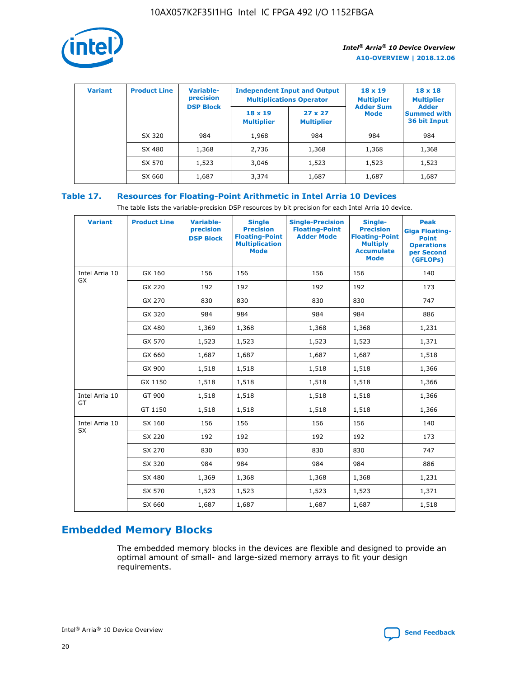

| <b>Variant</b> | <b>Product Line</b> | <b>Variable-</b><br>precision<br><b>DSP Block</b> | <b>Independent Input and Output</b><br><b>Multiplications Operator</b> |                                     | $18 \times 19$<br><b>Multiplier</b><br><b>Adder Sum</b> | $18 \times 18$<br><b>Multiplier</b><br><b>Adder</b> |  |
|----------------|---------------------|---------------------------------------------------|------------------------------------------------------------------------|-------------------------------------|---------------------------------------------------------|-----------------------------------------------------|--|
|                |                     |                                                   | $18 \times 19$<br><b>Multiplier</b>                                    | $27 \times 27$<br><b>Multiplier</b> | <b>Mode</b>                                             | <b>Summed with</b><br>36 bit Input                  |  |
|                | SX 320              | 984                                               | 1,968                                                                  | 984                                 | 984                                                     | 984                                                 |  |
|                | SX 480              | 1,368                                             | 2,736                                                                  | 1,368                               | 1,368                                                   | 1,368                                               |  |
|                | SX 570              | 1,523                                             | 3,046                                                                  | 1,523                               | 1,523                                                   | 1,523                                               |  |
|                | SX 660              | 1,687                                             | 3,374                                                                  | 1,687                               | 1,687                                                   | 1,687                                               |  |

# **Table 17. Resources for Floating-Point Arithmetic in Intel Arria 10 Devices**

The table lists the variable-precision DSP resources by bit precision for each Intel Arria 10 device.

| <b>Variant</b> | <b>Product Line</b> | <b>Variable-</b><br>precision<br><b>DSP Block</b> | <b>Single</b><br><b>Precision</b><br><b>Floating-Point</b><br><b>Multiplication</b><br><b>Mode</b> | <b>Single-Precision</b><br><b>Floating-Point</b><br><b>Adder Mode</b> | Single-<br><b>Precision</b><br><b>Floating-Point</b><br><b>Multiply</b><br><b>Accumulate</b><br><b>Mode</b> | <b>Peak</b><br><b>Giga Floating-</b><br><b>Point</b><br><b>Operations</b><br>per Second<br>(GFLOPs) |
|----------------|---------------------|---------------------------------------------------|----------------------------------------------------------------------------------------------------|-----------------------------------------------------------------------|-------------------------------------------------------------------------------------------------------------|-----------------------------------------------------------------------------------------------------|
| Intel Arria 10 | GX 160              | 156                                               | 156                                                                                                | 156                                                                   | 156                                                                                                         | 140                                                                                                 |
| <b>GX</b>      | GX 220              | 192                                               | 192                                                                                                | 192                                                                   | 192                                                                                                         | 173                                                                                                 |
|                | GX 270              | 830                                               | 830                                                                                                | 830                                                                   | 830                                                                                                         | 747                                                                                                 |
|                | GX 320              | 984                                               | 984                                                                                                | 984                                                                   | 984                                                                                                         | 886                                                                                                 |
|                | GX 480              | 1,369                                             | 1,368                                                                                              | 1,368                                                                 | 1,368                                                                                                       | 1,231                                                                                               |
|                | GX 570              | 1,523                                             | 1,523                                                                                              | 1,523                                                                 | 1,523                                                                                                       | 1,371                                                                                               |
|                | GX 660              | 1,687                                             | 1,687                                                                                              | 1,687                                                                 | 1,687                                                                                                       | 1,518                                                                                               |
|                | GX 900              | 1,518                                             | 1,518                                                                                              | 1,518                                                                 | 1,518                                                                                                       | 1,366                                                                                               |
|                | GX 1150             | 1,518                                             | 1,518                                                                                              | 1,518                                                                 | 1,518                                                                                                       | 1,366                                                                                               |
| Intel Arria 10 | GT 900              | 1,518                                             | 1,518                                                                                              | 1,518                                                                 | 1,518                                                                                                       | 1,366                                                                                               |
| GT             | GT 1150             | 1,518                                             | 1,518                                                                                              | 1,518                                                                 | 1,518                                                                                                       | 1,366                                                                                               |
| Intel Arria 10 | SX 160              | 156                                               | 156                                                                                                | 156                                                                   | 156                                                                                                         | 140                                                                                                 |
| SX             | SX 220              | 192                                               | 192                                                                                                | 192                                                                   | 192                                                                                                         | 173                                                                                                 |
|                | SX 270              | 830                                               | 830                                                                                                | 830                                                                   | 830                                                                                                         | 747                                                                                                 |
|                | SX 320              | 984                                               | 984                                                                                                | 984                                                                   | 984                                                                                                         | 886                                                                                                 |
|                | SX 480              | 1,369                                             | 1,368                                                                                              | 1,368                                                                 | 1,368                                                                                                       | 1,231                                                                                               |
|                | SX 570              | 1,523                                             | 1,523                                                                                              | 1,523                                                                 | 1,523                                                                                                       | 1,371                                                                                               |
|                | SX 660              | 1,687                                             | 1,687                                                                                              | 1,687                                                                 | 1,687                                                                                                       | 1,518                                                                                               |

# **Embedded Memory Blocks**

The embedded memory blocks in the devices are flexible and designed to provide an optimal amount of small- and large-sized memory arrays to fit your design requirements.

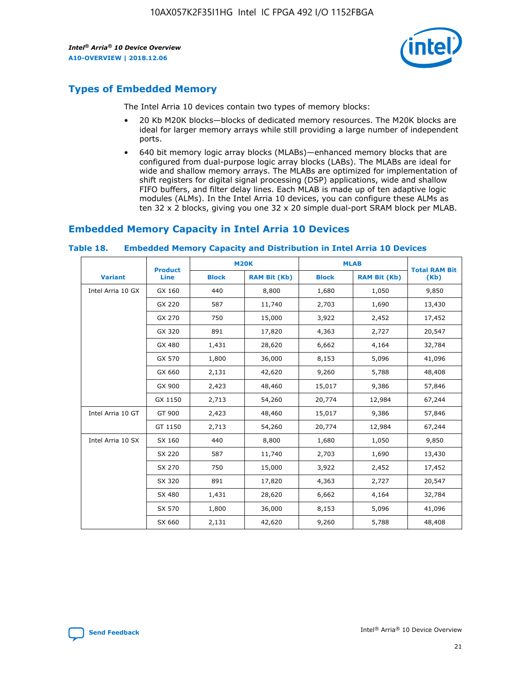

# **Types of Embedded Memory**

The Intel Arria 10 devices contain two types of memory blocks:

- 20 Kb M20K blocks—blocks of dedicated memory resources. The M20K blocks are ideal for larger memory arrays while still providing a large number of independent ports.
- 640 bit memory logic array blocks (MLABs)—enhanced memory blocks that are configured from dual-purpose logic array blocks (LABs). The MLABs are ideal for wide and shallow memory arrays. The MLABs are optimized for implementation of shift registers for digital signal processing (DSP) applications, wide and shallow FIFO buffers, and filter delay lines. Each MLAB is made up of ten adaptive logic modules (ALMs). In the Intel Arria 10 devices, you can configure these ALMs as ten 32 x 2 blocks, giving you one 32 x 20 simple dual-port SRAM block per MLAB.

# **Embedded Memory Capacity in Intel Arria 10 Devices**

|                   | <b>Product</b> |              | <b>M20K</b>         | <b>MLAB</b>  |                     | <b>Total RAM Bit</b> |
|-------------------|----------------|--------------|---------------------|--------------|---------------------|----------------------|
| <b>Variant</b>    | <b>Line</b>    | <b>Block</b> | <b>RAM Bit (Kb)</b> | <b>Block</b> | <b>RAM Bit (Kb)</b> | (Kb)                 |
| Intel Arria 10 GX | GX 160         | 440          | 8,800               | 1,680        | 1,050               | 9,850                |
|                   | GX 220         | 587          | 11,740              | 2,703        | 1,690               | 13,430               |
|                   | GX 270         | 750          | 15,000              | 3,922        | 2,452               | 17,452               |
|                   | GX 320         | 891          | 17,820              | 4,363        | 2,727               | 20,547               |
|                   | GX 480         | 1,431        | 28,620              | 6,662        | 4,164               | 32,784               |
|                   | GX 570         | 1,800        | 36,000              | 8,153        | 5,096               | 41,096               |
|                   | GX 660         | 2,131        | 42,620              | 9,260        | 5,788               | 48,408               |
|                   | GX 900         | 2,423        | 48,460              | 15,017       | 9,386               | 57,846               |
|                   | GX 1150        | 2,713        | 54,260              | 20,774       | 12,984              | 67,244               |
| Intel Arria 10 GT | GT 900         | 2,423        | 48,460              | 15,017       | 9,386               | 57,846               |
|                   | GT 1150        | 2,713        | 54,260              | 20,774       | 12,984              | 67,244               |
| Intel Arria 10 SX | SX 160         | 440          | 8,800               | 1,680        | 1,050               | 9,850                |
|                   | SX 220         | 587          | 11,740              | 2,703        | 1,690               | 13,430               |
|                   | SX 270         | 750          | 15,000              | 3,922        | 2,452               | 17,452               |
|                   | SX 320         | 891          | 17,820              | 4,363        | 2,727               | 20,547               |
|                   | SX 480         | 1,431        | 28,620              | 6,662        | 4,164               | 32,784               |
|                   | SX 570         | 1,800        | 36,000              | 8,153        | 5,096               | 41,096               |
|                   | SX 660         | 2,131        | 42,620              | 9,260        | 5,788               | 48,408               |

#### **Table 18. Embedded Memory Capacity and Distribution in Intel Arria 10 Devices**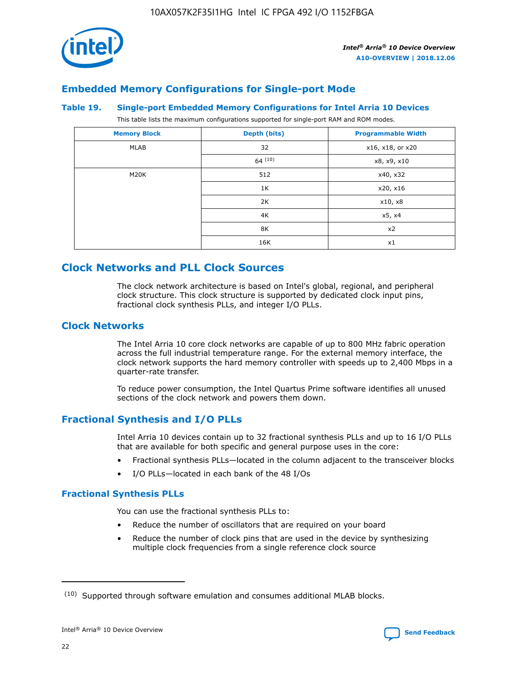

# **Embedded Memory Configurations for Single-port Mode**

## **Table 19. Single-port Embedded Memory Configurations for Intel Arria 10 Devices**

This table lists the maximum configurations supported for single-port RAM and ROM modes.

| <b>Memory Block</b> | Depth (bits) | <b>Programmable Width</b> |
|---------------------|--------------|---------------------------|
| MLAB                | 32           | x16, x18, or x20          |
|                     | 64(10)       | x8, x9, x10               |
| M20K                | 512          | x40, x32                  |
|                     | 1K           | x20, x16                  |
|                     | 2K           | x10, x8                   |
|                     | 4K           | x5, x4                    |
|                     | 8K           | x2                        |
|                     | 16K          | x1                        |

# **Clock Networks and PLL Clock Sources**

The clock network architecture is based on Intel's global, regional, and peripheral clock structure. This clock structure is supported by dedicated clock input pins, fractional clock synthesis PLLs, and integer I/O PLLs.

# **Clock Networks**

The Intel Arria 10 core clock networks are capable of up to 800 MHz fabric operation across the full industrial temperature range. For the external memory interface, the clock network supports the hard memory controller with speeds up to 2,400 Mbps in a quarter-rate transfer.

To reduce power consumption, the Intel Quartus Prime software identifies all unused sections of the clock network and powers them down.

# **Fractional Synthesis and I/O PLLs**

Intel Arria 10 devices contain up to 32 fractional synthesis PLLs and up to 16 I/O PLLs that are available for both specific and general purpose uses in the core:

- Fractional synthesis PLLs—located in the column adjacent to the transceiver blocks
- I/O PLLs—located in each bank of the 48 I/Os

# **Fractional Synthesis PLLs**

You can use the fractional synthesis PLLs to:

- Reduce the number of oscillators that are required on your board
- Reduce the number of clock pins that are used in the device by synthesizing multiple clock frequencies from a single reference clock source

<sup>(10)</sup> Supported through software emulation and consumes additional MLAB blocks.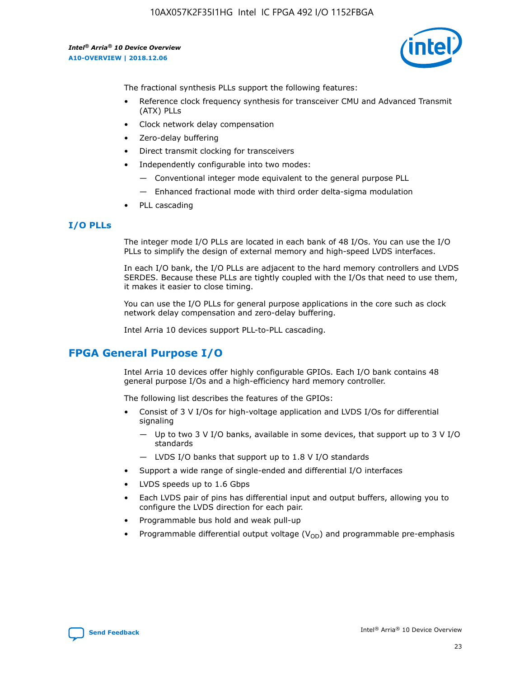

The fractional synthesis PLLs support the following features:

- Reference clock frequency synthesis for transceiver CMU and Advanced Transmit (ATX) PLLs
- Clock network delay compensation
- Zero-delay buffering
- Direct transmit clocking for transceivers
- Independently configurable into two modes:
	- Conventional integer mode equivalent to the general purpose PLL
	- Enhanced fractional mode with third order delta-sigma modulation
- PLL cascading

## **I/O PLLs**

The integer mode I/O PLLs are located in each bank of 48 I/Os. You can use the I/O PLLs to simplify the design of external memory and high-speed LVDS interfaces.

In each I/O bank, the I/O PLLs are adjacent to the hard memory controllers and LVDS SERDES. Because these PLLs are tightly coupled with the I/Os that need to use them, it makes it easier to close timing.

You can use the I/O PLLs for general purpose applications in the core such as clock network delay compensation and zero-delay buffering.

Intel Arria 10 devices support PLL-to-PLL cascading.

# **FPGA General Purpose I/O**

Intel Arria 10 devices offer highly configurable GPIOs. Each I/O bank contains 48 general purpose I/Os and a high-efficiency hard memory controller.

The following list describes the features of the GPIOs:

- Consist of 3 V I/Os for high-voltage application and LVDS I/Os for differential signaling
	- Up to two 3 V I/O banks, available in some devices, that support up to 3 V I/O standards
	- LVDS I/O banks that support up to 1.8 V I/O standards
- Support a wide range of single-ended and differential I/O interfaces
- LVDS speeds up to 1.6 Gbps
- Each LVDS pair of pins has differential input and output buffers, allowing you to configure the LVDS direction for each pair.
- Programmable bus hold and weak pull-up
- Programmable differential output voltage  $(V_{OD})$  and programmable pre-emphasis

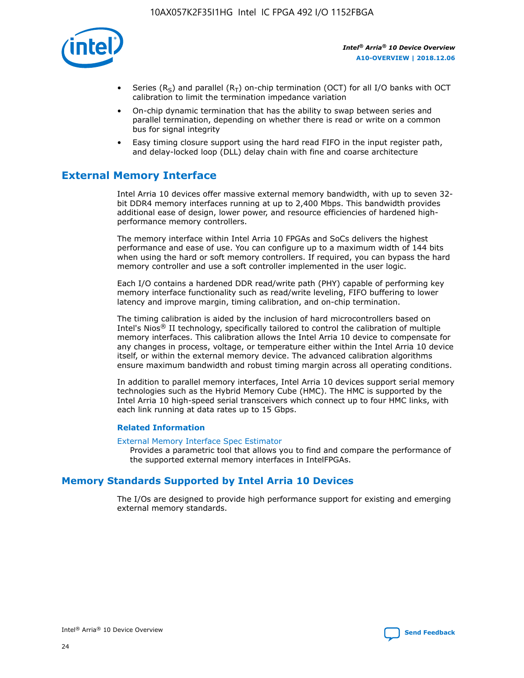

- Series (R<sub>S</sub>) and parallel (R<sub>T</sub>) on-chip termination (OCT) for all I/O banks with OCT calibration to limit the termination impedance variation
- On-chip dynamic termination that has the ability to swap between series and parallel termination, depending on whether there is read or write on a common bus for signal integrity
- Easy timing closure support using the hard read FIFO in the input register path, and delay-locked loop (DLL) delay chain with fine and coarse architecture

# **External Memory Interface**

Intel Arria 10 devices offer massive external memory bandwidth, with up to seven 32 bit DDR4 memory interfaces running at up to 2,400 Mbps. This bandwidth provides additional ease of design, lower power, and resource efficiencies of hardened highperformance memory controllers.

The memory interface within Intel Arria 10 FPGAs and SoCs delivers the highest performance and ease of use. You can configure up to a maximum width of 144 bits when using the hard or soft memory controllers. If required, you can bypass the hard memory controller and use a soft controller implemented in the user logic.

Each I/O contains a hardened DDR read/write path (PHY) capable of performing key memory interface functionality such as read/write leveling, FIFO buffering to lower latency and improve margin, timing calibration, and on-chip termination.

The timing calibration is aided by the inclusion of hard microcontrollers based on Intel's Nios® II technology, specifically tailored to control the calibration of multiple memory interfaces. This calibration allows the Intel Arria 10 device to compensate for any changes in process, voltage, or temperature either within the Intel Arria 10 device itself, or within the external memory device. The advanced calibration algorithms ensure maximum bandwidth and robust timing margin across all operating conditions.

In addition to parallel memory interfaces, Intel Arria 10 devices support serial memory technologies such as the Hybrid Memory Cube (HMC). The HMC is supported by the Intel Arria 10 high-speed serial transceivers which connect up to four HMC links, with each link running at data rates up to 15 Gbps.

## **Related Information**

#### [External Memory Interface Spec Estimator](http://www.altera.com/technology/memory/estimator/mem-emif-index.html)

Provides a parametric tool that allows you to find and compare the performance of the supported external memory interfaces in IntelFPGAs.

# **Memory Standards Supported by Intel Arria 10 Devices**

The I/Os are designed to provide high performance support for existing and emerging external memory standards.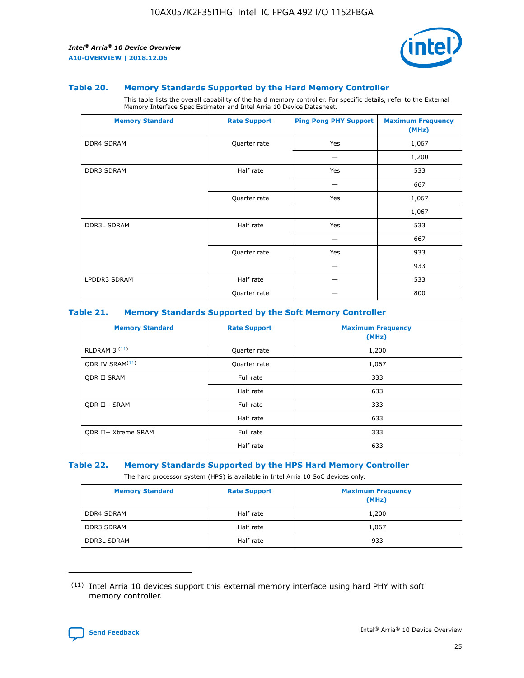

#### **Table 20. Memory Standards Supported by the Hard Memory Controller**

This table lists the overall capability of the hard memory controller. For specific details, refer to the External Memory Interface Spec Estimator and Intel Arria 10 Device Datasheet.

| <b>Memory Standard</b> | <b>Rate Support</b> | <b>Ping Pong PHY Support</b> | <b>Maximum Frequency</b><br>(MHz) |
|------------------------|---------------------|------------------------------|-----------------------------------|
| <b>DDR4 SDRAM</b>      | Quarter rate        | Yes                          | 1,067                             |
|                        |                     |                              | 1,200                             |
| <b>DDR3 SDRAM</b>      | Half rate           | Yes                          | 533                               |
|                        |                     |                              | 667                               |
|                        | Quarter rate        | Yes                          | 1,067                             |
|                        |                     |                              | 1,067                             |
| <b>DDR3L SDRAM</b>     | Half rate           | Yes                          | 533                               |
|                        |                     |                              | 667                               |
|                        | Quarter rate        | Yes                          | 933                               |
|                        |                     |                              | 933                               |
| LPDDR3 SDRAM           | Half rate           |                              | 533                               |
|                        | Quarter rate        |                              | 800                               |

## **Table 21. Memory Standards Supported by the Soft Memory Controller**

| <b>Memory Standard</b>      | <b>Rate Support</b> | <b>Maximum Frequency</b><br>(MHz) |
|-----------------------------|---------------------|-----------------------------------|
| <b>RLDRAM 3 (11)</b>        | Quarter rate        | 1,200                             |
| ODR IV SRAM <sup>(11)</sup> | Quarter rate        | 1,067                             |
| <b>ODR II SRAM</b>          | Full rate           | 333                               |
|                             | Half rate           | 633                               |
| <b>ODR II+ SRAM</b>         | Full rate           | 333                               |
|                             | Half rate           | 633                               |
| <b>ODR II+ Xtreme SRAM</b>  | Full rate           | 333                               |
|                             | Half rate           | 633                               |

#### **Table 22. Memory Standards Supported by the HPS Hard Memory Controller**

The hard processor system (HPS) is available in Intel Arria 10 SoC devices only.

| <b>Memory Standard</b> | <b>Rate Support</b> | <b>Maximum Frequency</b><br>(MHz) |
|------------------------|---------------------|-----------------------------------|
| <b>DDR4 SDRAM</b>      | Half rate           | 1,200                             |
| <b>DDR3 SDRAM</b>      | Half rate           | 1,067                             |
| <b>DDR3L SDRAM</b>     | Half rate           | 933                               |

<sup>(11)</sup> Intel Arria 10 devices support this external memory interface using hard PHY with soft memory controller.

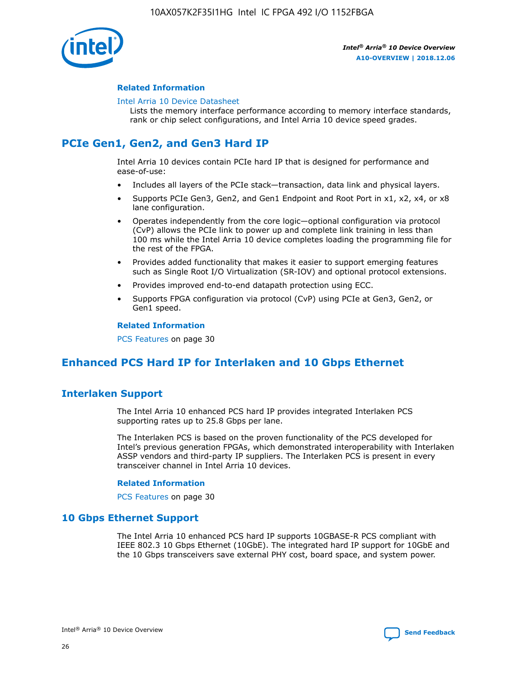

## **Related Information**

#### [Intel Arria 10 Device Datasheet](https://www.intel.com/content/www/us/en/programmable/documentation/mcn1413182292568.html#mcn1413182153340)

Lists the memory interface performance according to memory interface standards, rank or chip select configurations, and Intel Arria 10 device speed grades.

# **PCIe Gen1, Gen2, and Gen3 Hard IP**

Intel Arria 10 devices contain PCIe hard IP that is designed for performance and ease-of-use:

- Includes all layers of the PCIe stack—transaction, data link and physical layers.
- Supports PCIe Gen3, Gen2, and Gen1 Endpoint and Root Port in x1, x2, x4, or x8 lane configuration.
- Operates independently from the core logic—optional configuration via protocol (CvP) allows the PCIe link to power up and complete link training in less than 100 ms while the Intel Arria 10 device completes loading the programming file for the rest of the FPGA.
- Provides added functionality that makes it easier to support emerging features such as Single Root I/O Virtualization (SR-IOV) and optional protocol extensions.
- Provides improved end-to-end datapath protection using ECC.
- Supports FPGA configuration via protocol (CvP) using PCIe at Gen3, Gen2, or Gen1 speed.

#### **Related Information**

PCS Features on page 30

# **Enhanced PCS Hard IP for Interlaken and 10 Gbps Ethernet**

# **Interlaken Support**

The Intel Arria 10 enhanced PCS hard IP provides integrated Interlaken PCS supporting rates up to 25.8 Gbps per lane.

The Interlaken PCS is based on the proven functionality of the PCS developed for Intel's previous generation FPGAs, which demonstrated interoperability with Interlaken ASSP vendors and third-party IP suppliers. The Interlaken PCS is present in every transceiver channel in Intel Arria 10 devices.

## **Related Information**

PCS Features on page 30

# **10 Gbps Ethernet Support**

The Intel Arria 10 enhanced PCS hard IP supports 10GBASE-R PCS compliant with IEEE 802.3 10 Gbps Ethernet (10GbE). The integrated hard IP support for 10GbE and the 10 Gbps transceivers save external PHY cost, board space, and system power.

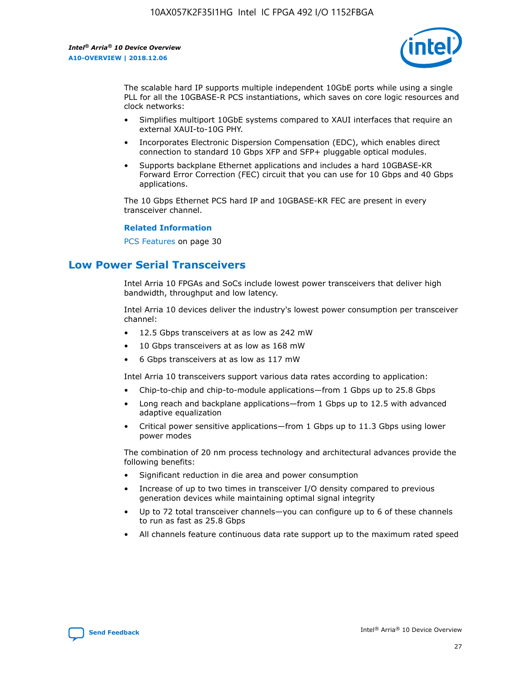

The scalable hard IP supports multiple independent 10GbE ports while using a single PLL for all the 10GBASE-R PCS instantiations, which saves on core logic resources and clock networks:

- Simplifies multiport 10GbE systems compared to XAUI interfaces that require an external XAUI-to-10G PHY.
- Incorporates Electronic Dispersion Compensation (EDC), which enables direct connection to standard 10 Gbps XFP and SFP+ pluggable optical modules.
- Supports backplane Ethernet applications and includes a hard 10GBASE-KR Forward Error Correction (FEC) circuit that you can use for 10 Gbps and 40 Gbps applications.

The 10 Gbps Ethernet PCS hard IP and 10GBASE-KR FEC are present in every transceiver channel.

#### **Related Information**

PCS Features on page 30

# **Low Power Serial Transceivers**

Intel Arria 10 FPGAs and SoCs include lowest power transceivers that deliver high bandwidth, throughput and low latency.

Intel Arria 10 devices deliver the industry's lowest power consumption per transceiver channel:

- 12.5 Gbps transceivers at as low as 242 mW
- 10 Gbps transceivers at as low as 168 mW
- 6 Gbps transceivers at as low as 117 mW

Intel Arria 10 transceivers support various data rates according to application:

- Chip-to-chip and chip-to-module applications—from 1 Gbps up to 25.8 Gbps
- Long reach and backplane applications—from 1 Gbps up to 12.5 with advanced adaptive equalization
- Critical power sensitive applications—from 1 Gbps up to 11.3 Gbps using lower power modes

The combination of 20 nm process technology and architectural advances provide the following benefits:

- Significant reduction in die area and power consumption
- Increase of up to two times in transceiver I/O density compared to previous generation devices while maintaining optimal signal integrity
- Up to 72 total transceiver channels—you can configure up to 6 of these channels to run as fast as 25.8 Gbps
- All channels feature continuous data rate support up to the maximum rated speed

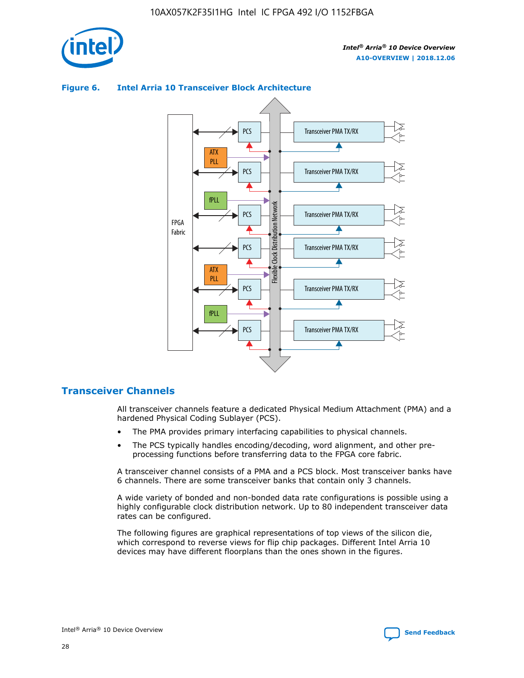

# **Figure 6. Intel Arria 10 Transceiver Block Architecture**



# **Transceiver Channels**

All transceiver channels feature a dedicated Physical Medium Attachment (PMA) and a hardened Physical Coding Sublayer (PCS).

- The PMA provides primary interfacing capabilities to physical channels.
- The PCS typically handles encoding/decoding, word alignment, and other preprocessing functions before transferring data to the FPGA core fabric.

A transceiver channel consists of a PMA and a PCS block. Most transceiver banks have 6 channels. There are some transceiver banks that contain only 3 channels.

A wide variety of bonded and non-bonded data rate configurations is possible using a highly configurable clock distribution network. Up to 80 independent transceiver data rates can be configured.

The following figures are graphical representations of top views of the silicon die, which correspond to reverse views for flip chip packages. Different Intel Arria 10 devices may have different floorplans than the ones shown in the figures.

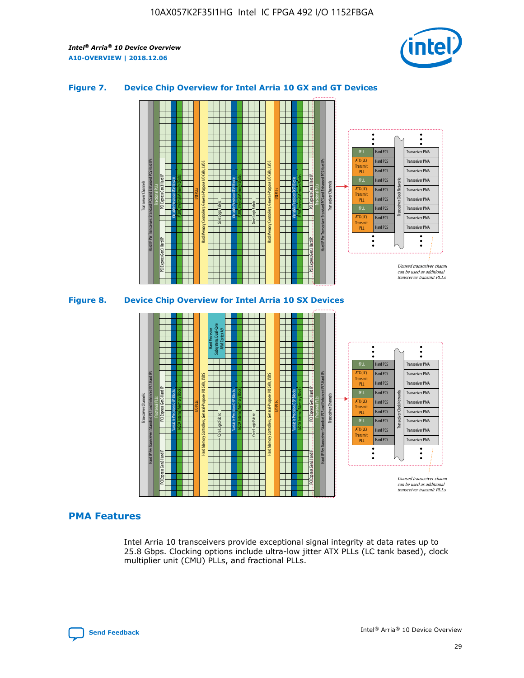

## **Figure 7. Device Chip Overview for Intel Arria 10 GX and GT Devices**





## **PMA Features**

Intel Arria 10 transceivers provide exceptional signal integrity at data rates up to 25.8 Gbps. Clocking options include ultra-low jitter ATX PLLs (LC tank based), clock multiplier unit (CMU) PLLs, and fractional PLLs.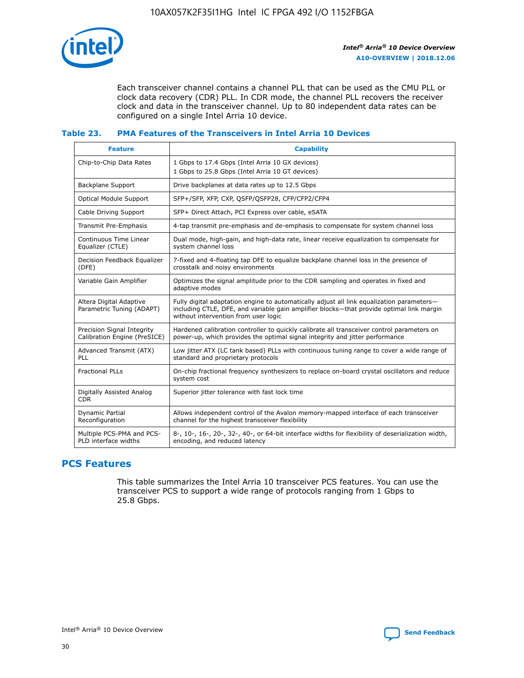

Each transceiver channel contains a channel PLL that can be used as the CMU PLL or clock data recovery (CDR) PLL. In CDR mode, the channel PLL recovers the receiver clock and data in the transceiver channel. Up to 80 independent data rates can be configured on a single Intel Arria 10 device.

## **Table 23. PMA Features of the Transceivers in Intel Arria 10 Devices**

| <b>Feature</b>                                             | <b>Capability</b>                                                                                                                                                                                                             |
|------------------------------------------------------------|-------------------------------------------------------------------------------------------------------------------------------------------------------------------------------------------------------------------------------|
| Chip-to-Chip Data Rates                                    | 1 Gbps to 17.4 Gbps (Intel Arria 10 GX devices)<br>1 Gbps to 25.8 Gbps (Intel Arria 10 GT devices)                                                                                                                            |
| <b>Backplane Support</b>                                   | Drive backplanes at data rates up to 12.5 Gbps                                                                                                                                                                                |
| <b>Optical Module Support</b>                              | SFP+/SFP, XFP, CXP, QSFP/QSFP28, CFP/CFP2/CFP4                                                                                                                                                                                |
| Cable Driving Support                                      | SFP+ Direct Attach, PCI Express over cable, eSATA                                                                                                                                                                             |
| Transmit Pre-Emphasis                                      | 4-tap transmit pre-emphasis and de-emphasis to compensate for system channel loss                                                                                                                                             |
| Continuous Time Linear<br>Equalizer (CTLE)                 | Dual mode, high-gain, and high-data rate, linear receive equalization to compensate for<br>system channel loss                                                                                                                |
| Decision Feedback Equalizer<br>(DFE)                       | 7-fixed and 4-floating tap DFE to equalize backplane channel loss in the presence of<br>crosstalk and noisy environments                                                                                                      |
| Variable Gain Amplifier                                    | Optimizes the signal amplitude prior to the CDR sampling and operates in fixed and<br>adaptive modes                                                                                                                          |
| Altera Digital Adaptive<br>Parametric Tuning (ADAPT)       | Fully digital adaptation engine to automatically adjust all link equalization parameters-<br>including CTLE, DFE, and variable gain amplifier blocks—that provide optimal link margin<br>without intervention from user logic |
| Precision Signal Integrity<br>Calibration Engine (PreSICE) | Hardened calibration controller to quickly calibrate all transceiver control parameters on<br>power-up, which provides the optimal signal integrity and jitter performance                                                    |
| Advanced Transmit (ATX)<br>PLL                             | Low jitter ATX (LC tank based) PLLs with continuous tuning range to cover a wide range of<br>standard and proprietary protocols                                                                                               |
| <b>Fractional PLLs</b>                                     | On-chip fractional frequency synthesizers to replace on-board crystal oscillators and reduce<br>system cost                                                                                                                   |
| Digitally Assisted Analog<br><b>CDR</b>                    | Superior jitter tolerance with fast lock time                                                                                                                                                                                 |
| Dynamic Partial<br>Reconfiguration                         | Allows independent control of the Avalon memory-mapped interface of each transceiver<br>channel for the highest transceiver flexibility                                                                                       |
| Multiple PCS-PMA and PCS-<br>PLD interface widths          | 8-, 10-, 16-, 20-, 32-, 40-, or 64-bit interface widths for flexibility of deserialization width,<br>encoding, and reduced latency                                                                                            |

# **PCS Features**

This table summarizes the Intel Arria 10 transceiver PCS features. You can use the transceiver PCS to support a wide range of protocols ranging from 1 Gbps to 25.8 Gbps.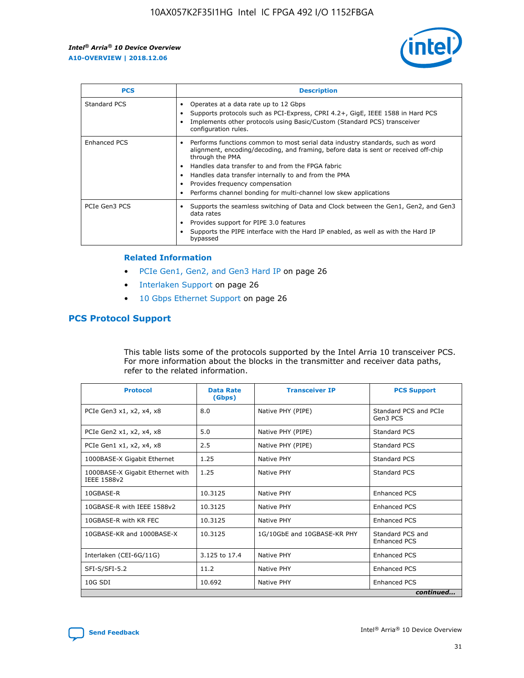

| <b>PCS</b>          | <b>Description</b>                                                                                                                                                                                                                                                                                                                                                                                             |
|---------------------|----------------------------------------------------------------------------------------------------------------------------------------------------------------------------------------------------------------------------------------------------------------------------------------------------------------------------------------------------------------------------------------------------------------|
| Standard PCS        | Operates at a data rate up to 12 Gbps<br>Supports protocols such as PCI-Express, CPRI 4.2+, GigE, IEEE 1588 in Hard PCS<br>Implements other protocols using Basic/Custom (Standard PCS) transceiver<br>configuration rules.                                                                                                                                                                                    |
| <b>Enhanced PCS</b> | Performs functions common to most serial data industry standards, such as word<br>alignment, encoding/decoding, and framing, before data is sent or received off-chip<br>through the PMA<br>• Handles data transfer to and from the FPGA fabric<br>Handles data transfer internally to and from the PMA<br>Provides frequency compensation<br>Performs channel bonding for multi-channel low skew applications |
| PCIe Gen3 PCS       | Supports the seamless switching of Data and Clock between the Gen1, Gen2, and Gen3<br>data rates<br>Provides support for PIPE 3.0 features<br>Supports the PIPE interface with the Hard IP enabled, as well as with the Hard IP<br>bypassed                                                                                                                                                                    |

#### **Related Information**

- PCIe Gen1, Gen2, and Gen3 Hard IP on page 26
- Interlaken Support on page 26
- 10 Gbps Ethernet Support on page 26

# **PCS Protocol Support**

This table lists some of the protocols supported by the Intel Arria 10 transceiver PCS. For more information about the blocks in the transmitter and receiver data paths, refer to the related information.

| <b>Protocol</b>                                 | <b>Data Rate</b><br>(Gbps) | <b>Transceiver IP</b>       | <b>PCS Support</b>                      |
|-------------------------------------------------|----------------------------|-----------------------------|-----------------------------------------|
| PCIe Gen3 x1, x2, x4, x8                        | 8.0                        | Native PHY (PIPE)           | Standard PCS and PCIe<br>Gen3 PCS       |
| PCIe Gen2 x1, x2, x4, x8                        | 5.0                        | Native PHY (PIPE)           | <b>Standard PCS</b>                     |
| PCIe Gen1 x1, x2, x4, x8                        | 2.5                        | Native PHY (PIPE)           | Standard PCS                            |
| 1000BASE-X Gigabit Ethernet                     | 1.25                       | Native PHY                  | <b>Standard PCS</b>                     |
| 1000BASE-X Gigabit Ethernet with<br>IEEE 1588v2 | 1.25                       | Native PHY                  | Standard PCS                            |
| 10GBASE-R                                       | 10.3125                    | Native PHY                  | <b>Enhanced PCS</b>                     |
| 10GBASE-R with IEEE 1588v2                      | 10.3125                    | Native PHY                  | <b>Enhanced PCS</b>                     |
| 10GBASE-R with KR FEC                           | 10.3125                    | Native PHY                  | <b>Enhanced PCS</b>                     |
| 10GBASE-KR and 1000BASE-X                       | 10.3125                    | 1G/10GbE and 10GBASE-KR PHY | Standard PCS and<br><b>Enhanced PCS</b> |
| Interlaken (CEI-6G/11G)                         | 3.125 to 17.4              | Native PHY                  | <b>Enhanced PCS</b>                     |
| SFI-S/SFI-5.2                                   | 11.2                       | Native PHY                  | <b>Enhanced PCS</b>                     |
| $10G$ SDI                                       | 10.692                     | Native PHY                  | <b>Enhanced PCS</b>                     |
|                                                 |                            |                             | continued                               |

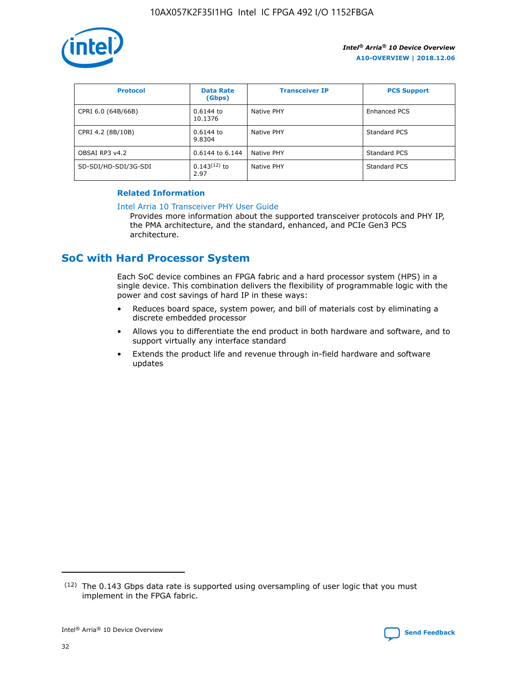

| <b>Protocol</b>      | <b>Data Rate</b><br>(Gbps) | <b>Transceiver IP</b> | <b>PCS Support</b> |
|----------------------|----------------------------|-----------------------|--------------------|
| CPRI 6.0 (64B/66B)   | 0.6144 to<br>10.1376       | Native PHY            | Enhanced PCS       |
| CPRI 4.2 (8B/10B)    | $0.6144$ to<br>9.8304      | Native PHY            | Standard PCS       |
| OBSAI RP3 v4.2       | 0.6144 to 6.144            | Native PHY            | Standard PCS       |
| SD-SDI/HD-SDI/3G-SDI | $0.143(12)$ to<br>2.97     | Native PHY            | Standard PCS       |

## **Related Information**

#### [Intel Arria 10 Transceiver PHY User Guide](https://www.intel.com/content/www/us/en/programmable/documentation/nik1398707230472.html#nik1398707091164)

Provides more information about the supported transceiver protocols and PHY IP, the PMA architecture, and the standard, enhanced, and PCIe Gen3 PCS architecture.

# **SoC with Hard Processor System**

Each SoC device combines an FPGA fabric and a hard processor system (HPS) in a single device. This combination delivers the flexibility of programmable logic with the power and cost savings of hard IP in these ways:

- Reduces board space, system power, and bill of materials cost by eliminating a discrete embedded processor
- Allows you to differentiate the end product in both hardware and software, and to support virtually any interface standard
- Extends the product life and revenue through in-field hardware and software updates

 $(12)$  The 0.143 Gbps data rate is supported using oversampling of user logic that you must implement in the FPGA fabric.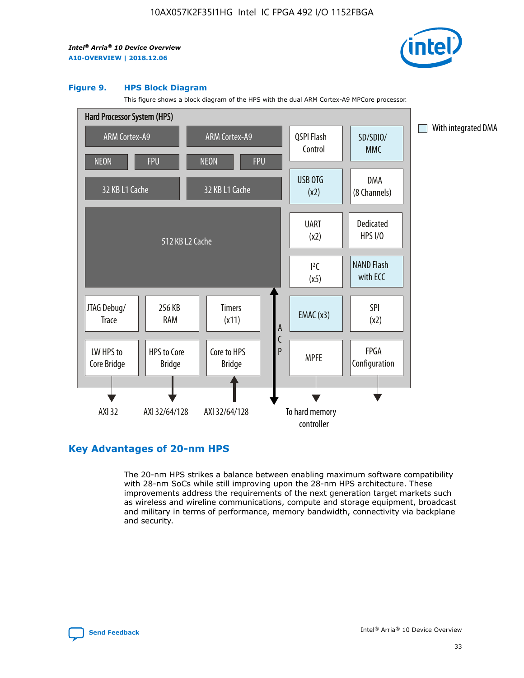

#### **Figure 9. HPS Block Diagram**

This figure shows a block diagram of the HPS with the dual ARM Cortex-A9 MPCore processor.



# **Key Advantages of 20-nm HPS**

The 20-nm HPS strikes a balance between enabling maximum software compatibility with 28-nm SoCs while still improving upon the 28-nm HPS architecture. These improvements address the requirements of the next generation target markets such as wireless and wireline communications, compute and storage equipment, broadcast and military in terms of performance, memory bandwidth, connectivity via backplane and security.

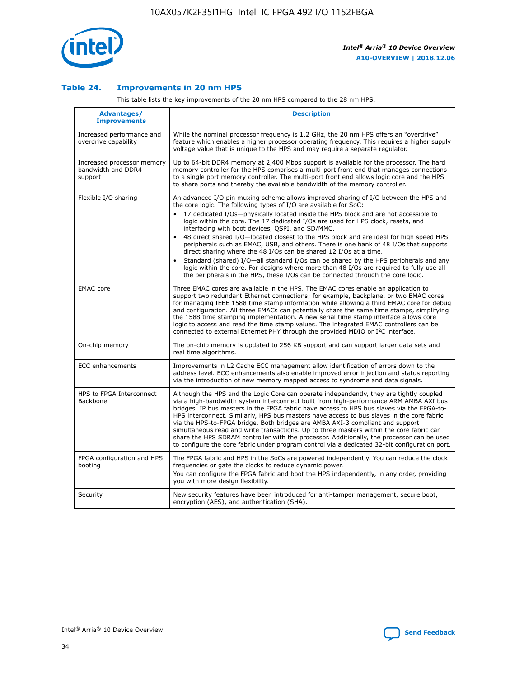

## **Table 24. Improvements in 20 nm HPS**

This table lists the key improvements of the 20 nm HPS compared to the 28 nm HPS.

| Advantages/<br><b>Improvements</b>                          | <b>Description</b>                                                                                                                                                                                                                                                                                                                                                                                                                                                                                                                                                                                                                                                                                                                                                                                                                                                                                                      |
|-------------------------------------------------------------|-------------------------------------------------------------------------------------------------------------------------------------------------------------------------------------------------------------------------------------------------------------------------------------------------------------------------------------------------------------------------------------------------------------------------------------------------------------------------------------------------------------------------------------------------------------------------------------------------------------------------------------------------------------------------------------------------------------------------------------------------------------------------------------------------------------------------------------------------------------------------------------------------------------------------|
| Increased performance and<br>overdrive capability           | While the nominal processor frequency is 1.2 GHz, the 20 nm HPS offers an "overdrive"<br>feature which enables a higher processor operating frequency. This requires a higher supply<br>voltage value that is unique to the HPS and may require a separate regulator.                                                                                                                                                                                                                                                                                                                                                                                                                                                                                                                                                                                                                                                   |
| Increased processor memory<br>bandwidth and DDR4<br>support | Up to 64-bit DDR4 memory at 2,400 Mbps support is available for the processor. The hard<br>memory controller for the HPS comprises a multi-port front end that manages connections<br>to a single port memory controller. The multi-port front end allows logic core and the HPS<br>to share ports and thereby the available bandwidth of the memory controller.                                                                                                                                                                                                                                                                                                                                                                                                                                                                                                                                                        |
| Flexible I/O sharing                                        | An advanced I/O pin muxing scheme allows improved sharing of I/O between the HPS and<br>the core logic. The following types of I/O are available for SoC:<br>17 dedicated I/Os-physically located inside the HPS block and are not accessible to<br>logic within the core. The 17 dedicated I/Os are used for HPS clock, resets, and<br>interfacing with boot devices, QSPI, and SD/MMC.<br>48 direct shared I/O-located closest to the HPS block and are ideal for high speed HPS<br>peripherals such as EMAC, USB, and others. There is one bank of 48 I/Os that supports<br>direct sharing where the 48 I/Os can be shared 12 I/Os at a time.<br>Standard (shared) I/O-all standard I/Os can be shared by the HPS peripherals and any<br>logic within the core. For designs where more than 48 I/Os are reguired to fully use all<br>the peripherals in the HPS, these I/Os can be connected through the core logic. |
| <b>EMAC</b> core                                            | Three EMAC cores are available in the HPS. The EMAC cores enable an application to<br>support two redundant Ethernet connections; for example, backplane, or two EMAC cores<br>for managing IEEE 1588 time stamp information while allowing a third EMAC core for debug<br>and configuration. All three EMACs can potentially share the same time stamps, simplifying<br>the 1588 time stamping implementation. A new serial time stamp interface allows core<br>logic to access and read the time stamp values. The integrated EMAC controllers can be<br>connected to external Ethernet PHY through the provided MDIO or I <sup>2</sup> C interface.                                                                                                                                                                                                                                                                  |
| On-chip memory                                              | The on-chip memory is updated to 256 KB support and can support larger data sets and<br>real time algorithms.                                                                                                                                                                                                                                                                                                                                                                                                                                                                                                                                                                                                                                                                                                                                                                                                           |
| <b>ECC</b> enhancements                                     | Improvements in L2 Cache ECC management allow identification of errors down to the<br>address level. ECC enhancements also enable improved error injection and status reporting<br>via the introduction of new memory mapped access to syndrome and data signals.                                                                                                                                                                                                                                                                                                                                                                                                                                                                                                                                                                                                                                                       |
| HPS to FPGA Interconnect<br>Backbone                        | Although the HPS and the Logic Core can operate independently, they are tightly coupled<br>via a high-bandwidth system interconnect built from high-performance ARM AMBA AXI bus<br>bridges. IP bus masters in the FPGA fabric have access to HPS bus slaves via the FPGA-to-<br>HPS interconnect. Similarly, HPS bus masters have access to bus slaves in the core fabric<br>via the HPS-to-FPGA bridge. Both bridges are AMBA AXI-3 compliant and support<br>simultaneous read and write transactions. Up to three masters within the core fabric can<br>share the HPS SDRAM controller with the processor. Additionally, the processor can be used<br>to configure the core fabric under program control via a dedicated 32-bit configuration port.                                                                                                                                                                  |
| FPGA configuration and HPS<br>booting                       | The FPGA fabric and HPS in the SoCs are powered independently. You can reduce the clock<br>frequencies or gate the clocks to reduce dynamic power.<br>You can configure the FPGA fabric and boot the HPS independently, in any order, providing<br>you with more design flexibility.                                                                                                                                                                                                                                                                                                                                                                                                                                                                                                                                                                                                                                    |
| Security                                                    | New security features have been introduced for anti-tamper management, secure boot,<br>encryption (AES), and authentication (SHA).                                                                                                                                                                                                                                                                                                                                                                                                                                                                                                                                                                                                                                                                                                                                                                                      |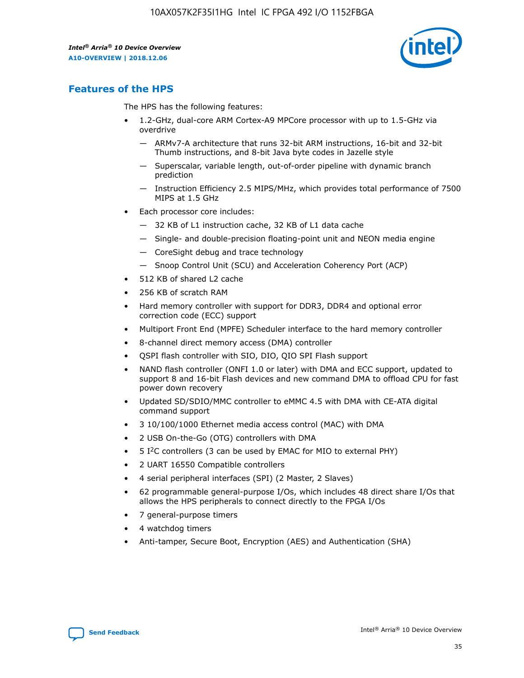

# **Features of the HPS**

The HPS has the following features:

- 1.2-GHz, dual-core ARM Cortex-A9 MPCore processor with up to 1.5-GHz via overdrive
	- ARMv7-A architecture that runs 32-bit ARM instructions, 16-bit and 32-bit Thumb instructions, and 8-bit Java byte codes in Jazelle style
	- Superscalar, variable length, out-of-order pipeline with dynamic branch prediction
	- Instruction Efficiency 2.5 MIPS/MHz, which provides total performance of 7500 MIPS at 1.5 GHz
- Each processor core includes:
	- 32 KB of L1 instruction cache, 32 KB of L1 data cache
	- Single- and double-precision floating-point unit and NEON media engine
	- CoreSight debug and trace technology
	- Snoop Control Unit (SCU) and Acceleration Coherency Port (ACP)
- 512 KB of shared L2 cache
- 256 KB of scratch RAM
- Hard memory controller with support for DDR3, DDR4 and optional error correction code (ECC) support
- Multiport Front End (MPFE) Scheduler interface to the hard memory controller
- 8-channel direct memory access (DMA) controller
- QSPI flash controller with SIO, DIO, QIO SPI Flash support
- NAND flash controller (ONFI 1.0 or later) with DMA and ECC support, updated to support 8 and 16-bit Flash devices and new command DMA to offload CPU for fast power down recovery
- Updated SD/SDIO/MMC controller to eMMC 4.5 with DMA with CE-ATA digital command support
- 3 10/100/1000 Ethernet media access control (MAC) with DMA
- 2 USB On-the-Go (OTG) controllers with DMA
- $\bullet$  5 I<sup>2</sup>C controllers (3 can be used by EMAC for MIO to external PHY)
- 2 UART 16550 Compatible controllers
- 4 serial peripheral interfaces (SPI) (2 Master, 2 Slaves)
- 62 programmable general-purpose I/Os, which includes 48 direct share I/Os that allows the HPS peripherals to connect directly to the FPGA I/Os
- 7 general-purpose timers
- 4 watchdog timers
- Anti-tamper, Secure Boot, Encryption (AES) and Authentication (SHA)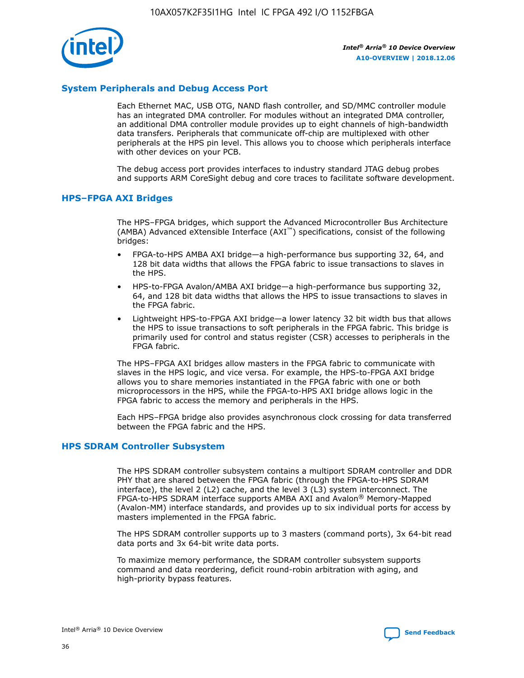

# **System Peripherals and Debug Access Port**

Each Ethernet MAC, USB OTG, NAND flash controller, and SD/MMC controller module has an integrated DMA controller. For modules without an integrated DMA controller, an additional DMA controller module provides up to eight channels of high-bandwidth data transfers. Peripherals that communicate off-chip are multiplexed with other peripherals at the HPS pin level. This allows you to choose which peripherals interface with other devices on your PCB.

The debug access port provides interfaces to industry standard JTAG debug probes and supports ARM CoreSight debug and core traces to facilitate software development.

#### **HPS–FPGA AXI Bridges**

The HPS–FPGA bridges, which support the Advanced Microcontroller Bus Architecture (AMBA) Advanced eXtensible Interface (AXI™) specifications, consist of the following bridges:

- FPGA-to-HPS AMBA AXI bridge—a high-performance bus supporting 32, 64, and 128 bit data widths that allows the FPGA fabric to issue transactions to slaves in the HPS.
- HPS-to-FPGA Avalon/AMBA AXI bridge—a high-performance bus supporting 32, 64, and 128 bit data widths that allows the HPS to issue transactions to slaves in the FPGA fabric.
- Lightweight HPS-to-FPGA AXI bridge—a lower latency 32 bit width bus that allows the HPS to issue transactions to soft peripherals in the FPGA fabric. This bridge is primarily used for control and status register (CSR) accesses to peripherals in the FPGA fabric.

The HPS–FPGA AXI bridges allow masters in the FPGA fabric to communicate with slaves in the HPS logic, and vice versa. For example, the HPS-to-FPGA AXI bridge allows you to share memories instantiated in the FPGA fabric with one or both microprocessors in the HPS, while the FPGA-to-HPS AXI bridge allows logic in the FPGA fabric to access the memory and peripherals in the HPS.

Each HPS–FPGA bridge also provides asynchronous clock crossing for data transferred between the FPGA fabric and the HPS.

#### **HPS SDRAM Controller Subsystem**

The HPS SDRAM controller subsystem contains a multiport SDRAM controller and DDR PHY that are shared between the FPGA fabric (through the FPGA-to-HPS SDRAM interface), the level 2 (L2) cache, and the level 3 (L3) system interconnect. The FPGA-to-HPS SDRAM interface supports AMBA AXI and Avalon® Memory-Mapped (Avalon-MM) interface standards, and provides up to six individual ports for access by masters implemented in the FPGA fabric.

The HPS SDRAM controller supports up to 3 masters (command ports), 3x 64-bit read data ports and 3x 64-bit write data ports.

To maximize memory performance, the SDRAM controller subsystem supports command and data reordering, deficit round-robin arbitration with aging, and high-priority bypass features.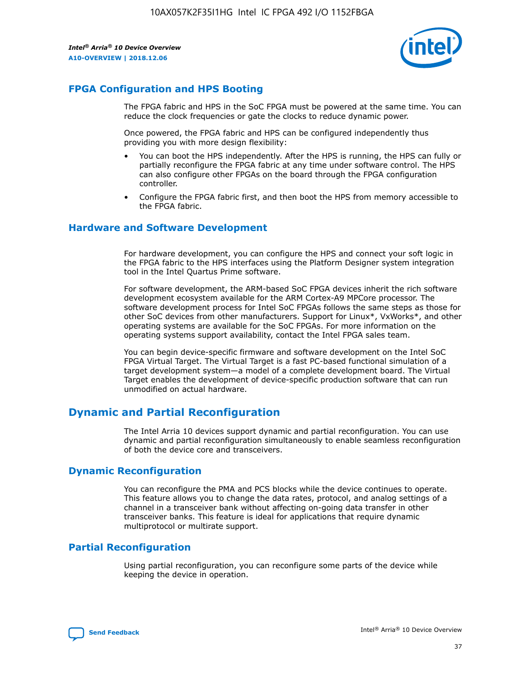

# **FPGA Configuration and HPS Booting**

The FPGA fabric and HPS in the SoC FPGA must be powered at the same time. You can reduce the clock frequencies or gate the clocks to reduce dynamic power.

Once powered, the FPGA fabric and HPS can be configured independently thus providing you with more design flexibility:

- You can boot the HPS independently. After the HPS is running, the HPS can fully or partially reconfigure the FPGA fabric at any time under software control. The HPS can also configure other FPGAs on the board through the FPGA configuration controller.
- Configure the FPGA fabric first, and then boot the HPS from memory accessible to the FPGA fabric.

## **Hardware and Software Development**

For hardware development, you can configure the HPS and connect your soft logic in the FPGA fabric to the HPS interfaces using the Platform Designer system integration tool in the Intel Quartus Prime software.

For software development, the ARM-based SoC FPGA devices inherit the rich software development ecosystem available for the ARM Cortex-A9 MPCore processor. The software development process for Intel SoC FPGAs follows the same steps as those for other SoC devices from other manufacturers. Support for Linux\*, VxWorks\*, and other operating systems are available for the SoC FPGAs. For more information on the operating systems support availability, contact the Intel FPGA sales team.

You can begin device-specific firmware and software development on the Intel SoC FPGA Virtual Target. The Virtual Target is a fast PC-based functional simulation of a target development system—a model of a complete development board. The Virtual Target enables the development of device-specific production software that can run unmodified on actual hardware.

# **Dynamic and Partial Reconfiguration**

The Intel Arria 10 devices support dynamic and partial reconfiguration. You can use dynamic and partial reconfiguration simultaneously to enable seamless reconfiguration of both the device core and transceivers.

# **Dynamic Reconfiguration**

You can reconfigure the PMA and PCS blocks while the device continues to operate. This feature allows you to change the data rates, protocol, and analog settings of a channel in a transceiver bank without affecting on-going data transfer in other transceiver banks. This feature is ideal for applications that require dynamic multiprotocol or multirate support.

# **Partial Reconfiguration**

Using partial reconfiguration, you can reconfigure some parts of the device while keeping the device in operation.

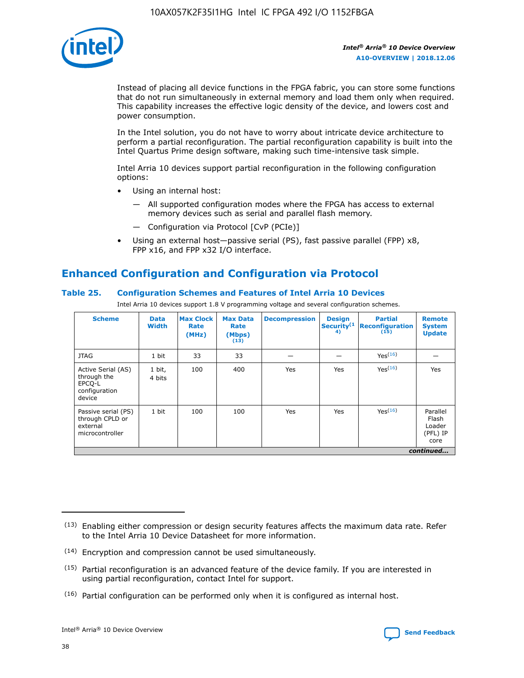

Instead of placing all device functions in the FPGA fabric, you can store some functions that do not run simultaneously in external memory and load them only when required. This capability increases the effective logic density of the device, and lowers cost and power consumption.

In the Intel solution, you do not have to worry about intricate device architecture to perform a partial reconfiguration. The partial reconfiguration capability is built into the Intel Quartus Prime design software, making such time-intensive task simple.

Intel Arria 10 devices support partial reconfiguration in the following configuration options:

- Using an internal host:
	- All supported configuration modes where the FPGA has access to external memory devices such as serial and parallel flash memory.
	- Configuration via Protocol [CvP (PCIe)]
- Using an external host—passive serial (PS), fast passive parallel (FPP) x8, FPP x16, and FPP x32 I/O interface.

# **Enhanced Configuration and Configuration via Protocol**

## **Table 25. Configuration Schemes and Features of Intel Arria 10 Devices**

Intel Arria 10 devices support 1.8 V programming voltage and several configuration schemes.

| <b>Scheme</b>                                                          | <b>Data</b><br><b>Width</b> | <b>Max Clock</b><br>Rate<br>(MHz) | <b>Max Data</b><br>Rate<br>(Mbps)<br>(13) | <b>Decompression</b> | <b>Design</b><br>Security <sup>(1</sup><br>4) | <b>Partial</b><br>Reconfiguration<br>(15) | <b>Remote</b><br><b>System</b><br><b>Update</b> |
|------------------------------------------------------------------------|-----------------------------|-----------------------------------|-------------------------------------------|----------------------|-----------------------------------------------|-------------------------------------------|-------------------------------------------------|
| <b>JTAG</b>                                                            | 1 bit                       | 33                                | 33                                        |                      |                                               | Yes(16)                                   |                                                 |
| Active Serial (AS)<br>through the<br>EPCO-L<br>configuration<br>device | 1 bit,<br>4 bits            | 100                               | 400                                       | Yes                  | Yes                                           | Yes(16)                                   | Yes                                             |
| Passive serial (PS)<br>through CPLD or<br>external<br>microcontroller  | 1 bit                       | 100                               | 100                                       | Yes                  | Yes                                           | Yes <sup>(16)</sup>                       | Parallel<br>Flash<br>Loader<br>(PFL) IP<br>core |
|                                                                        |                             |                                   |                                           |                      |                                               |                                           | continued                                       |

<sup>(13)</sup> Enabling either compression or design security features affects the maximum data rate. Refer to the Intel Arria 10 Device Datasheet for more information.

<sup>(14)</sup> Encryption and compression cannot be used simultaneously.

 $(15)$  Partial reconfiguration is an advanced feature of the device family. If you are interested in using partial reconfiguration, contact Intel for support.

 $(16)$  Partial configuration can be performed only when it is configured as internal host.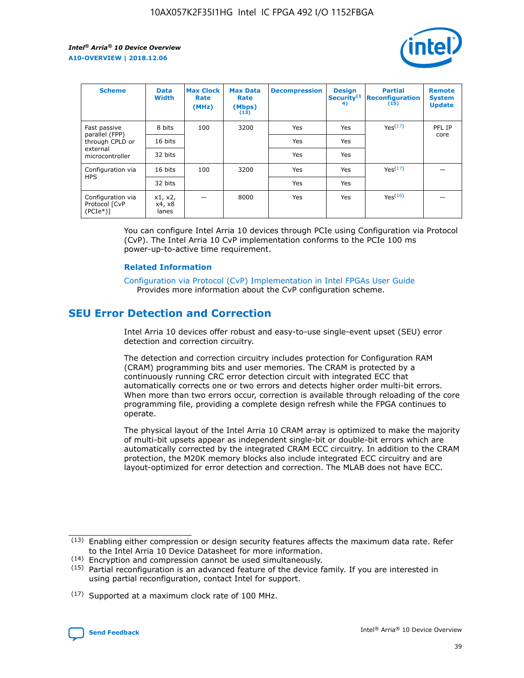

| <b>Scheme</b>                                   | <b>Data</b><br><b>Width</b> | <b>Max Clock</b><br>Rate<br>(MHz) | <b>Max Data</b><br>Rate<br>(Mbps)<br>(13) | <b>Decompression</b> | <b>Design</b><br>Security <sup>(1</sup><br>4) | <b>Partial</b><br><b>Reconfiguration</b><br>(15) | <b>Remote</b><br><b>System</b><br><b>Update</b> |
|-------------------------------------------------|-----------------------------|-----------------------------------|-------------------------------------------|----------------------|-----------------------------------------------|--------------------------------------------------|-------------------------------------------------|
| Fast passive                                    | 8 bits                      | 100                               | 3200                                      | Yes                  | Yes                                           | Yes <sup>(17)</sup>                              | PFL IP                                          |
| parallel (FPP)<br>through CPLD or               | 16 bits                     |                                   |                                           | Yes                  | Yes                                           |                                                  | core                                            |
| external<br>microcontroller                     | 32 bits                     |                                   |                                           | Yes                  | Yes                                           |                                                  |                                                 |
| Configuration via                               | 16 bits                     | 100                               | 3200                                      | Yes                  | Yes                                           | Yes <sup>(17)</sup>                              |                                                 |
| <b>HPS</b>                                      | 32 bits                     |                                   |                                           | Yes                  | Yes                                           |                                                  |                                                 |
| Configuration via<br>Protocol [CvP<br>$(PCIe*)$ | x1, x2,<br>x4, x8<br>lanes  |                                   | 8000                                      | Yes                  | Yes                                           | Yes(16)                                          |                                                 |

You can configure Intel Arria 10 devices through PCIe using Configuration via Protocol (CvP). The Intel Arria 10 CvP implementation conforms to the PCIe 100 ms power-up-to-active time requirement.

#### **Related Information**

[Configuration via Protocol \(CvP\) Implementation in Intel FPGAs User Guide](https://www.intel.com/content/www/us/en/programmable/documentation/dsu1441819344145.html#dsu1442269728522) Provides more information about the CvP configuration scheme.

# **SEU Error Detection and Correction**

Intel Arria 10 devices offer robust and easy-to-use single-event upset (SEU) error detection and correction circuitry.

The detection and correction circuitry includes protection for Configuration RAM (CRAM) programming bits and user memories. The CRAM is protected by a continuously running CRC error detection circuit with integrated ECC that automatically corrects one or two errors and detects higher order multi-bit errors. When more than two errors occur, correction is available through reloading of the core programming file, providing a complete design refresh while the FPGA continues to operate.

The physical layout of the Intel Arria 10 CRAM array is optimized to make the majority of multi-bit upsets appear as independent single-bit or double-bit errors which are automatically corrected by the integrated CRAM ECC circuitry. In addition to the CRAM protection, the M20K memory blocks also include integrated ECC circuitry and are layout-optimized for error detection and correction. The MLAB does not have ECC.

(14) Encryption and compression cannot be used simultaneously.

<sup>(17)</sup> Supported at a maximum clock rate of 100 MHz.



 $(13)$  Enabling either compression or design security features affects the maximum data rate. Refer to the Intel Arria 10 Device Datasheet for more information.

 $(15)$  Partial reconfiguration is an advanced feature of the device family. If you are interested in using partial reconfiguration, contact Intel for support.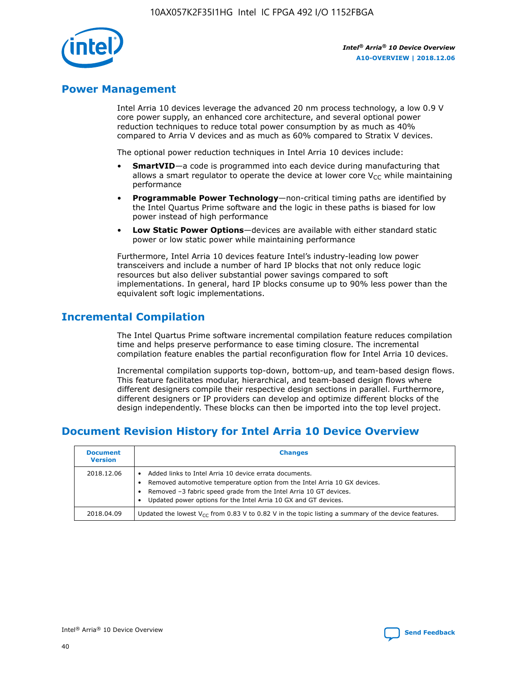

# **Power Management**

Intel Arria 10 devices leverage the advanced 20 nm process technology, a low 0.9 V core power supply, an enhanced core architecture, and several optional power reduction techniques to reduce total power consumption by as much as 40% compared to Arria V devices and as much as 60% compared to Stratix V devices.

The optional power reduction techniques in Intel Arria 10 devices include:

- **SmartVID**—a code is programmed into each device during manufacturing that allows a smart regulator to operate the device at lower core  $V_{CC}$  while maintaining performance
- **Programmable Power Technology**—non-critical timing paths are identified by the Intel Quartus Prime software and the logic in these paths is biased for low power instead of high performance
- **Low Static Power Options**—devices are available with either standard static power or low static power while maintaining performance

Furthermore, Intel Arria 10 devices feature Intel's industry-leading low power transceivers and include a number of hard IP blocks that not only reduce logic resources but also deliver substantial power savings compared to soft implementations. In general, hard IP blocks consume up to 90% less power than the equivalent soft logic implementations.

# **Incremental Compilation**

The Intel Quartus Prime software incremental compilation feature reduces compilation time and helps preserve performance to ease timing closure. The incremental compilation feature enables the partial reconfiguration flow for Intel Arria 10 devices.

Incremental compilation supports top-down, bottom-up, and team-based design flows. This feature facilitates modular, hierarchical, and team-based design flows where different designers compile their respective design sections in parallel. Furthermore, different designers or IP providers can develop and optimize different blocks of the design independently. These blocks can then be imported into the top level project.

# **Document Revision History for Intel Arria 10 Device Overview**

| <b>Document</b><br><b>Version</b> | <b>Changes</b>                                                                                                                                                                                                                                                              |
|-----------------------------------|-----------------------------------------------------------------------------------------------------------------------------------------------------------------------------------------------------------------------------------------------------------------------------|
| 2018.12.06                        | Added links to Intel Arria 10 device errata documents.<br>Removed automotive temperature option from the Intel Arria 10 GX devices.<br>Removed -3 fabric speed grade from the Intel Arria 10 GT devices.<br>Updated power options for the Intel Arria 10 GX and GT devices. |
| 2018.04.09                        | Updated the lowest $V_{CC}$ from 0.83 V to 0.82 V in the topic listing a summary of the device features.                                                                                                                                                                    |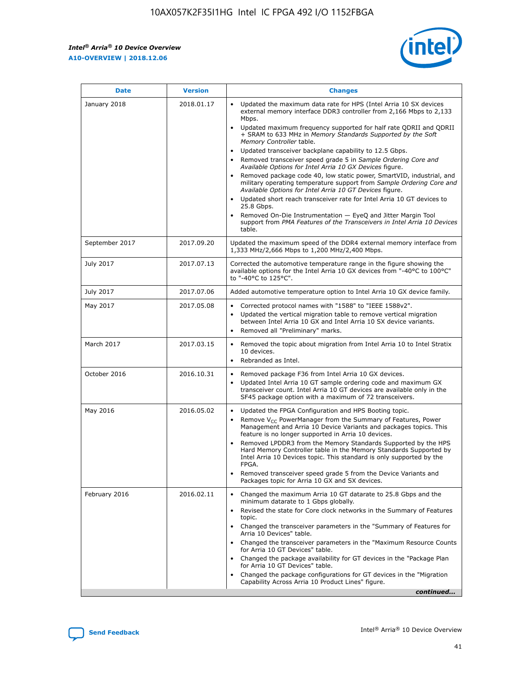*Intel® Arria® 10 Device Overview* **A10-OVERVIEW | 2018.12.06**



| <b>Date</b>    | <b>Version</b> | <b>Changes</b>                                                                                                                                                                                                                                                                                                                                                                                                                                                                                                                                                                                                                                                                                                                                                                                                                                                                                                                                                            |
|----------------|----------------|---------------------------------------------------------------------------------------------------------------------------------------------------------------------------------------------------------------------------------------------------------------------------------------------------------------------------------------------------------------------------------------------------------------------------------------------------------------------------------------------------------------------------------------------------------------------------------------------------------------------------------------------------------------------------------------------------------------------------------------------------------------------------------------------------------------------------------------------------------------------------------------------------------------------------------------------------------------------------|
| January 2018   | 2018.01.17     | Updated the maximum data rate for HPS (Intel Arria 10 SX devices<br>external memory interface DDR3 controller from 2,166 Mbps to 2,133<br>Mbps.<br>Updated maximum frequency supported for half rate QDRII and QDRII<br>+ SRAM to 633 MHz in Memory Standards Supported by the Soft<br>Memory Controller table.<br>Updated transceiver backplane capability to 12.5 Gbps.<br>$\bullet$<br>Removed transceiver speed grade 5 in Sample Ordering Core and<br>Available Options for Intel Arria 10 GX Devices figure.<br>Removed package code 40, low static power, SmartVID, industrial, and<br>military operating temperature support from Sample Ordering Core and<br>Available Options for Intel Arria 10 GT Devices figure.<br>Updated short reach transceiver rate for Intel Arria 10 GT devices to<br>25.8 Gbps.<br>Removed On-Die Instrumentation - EyeQ and Jitter Margin Tool<br>support from PMA Features of the Transceivers in Intel Arria 10 Devices<br>table. |
| September 2017 | 2017.09.20     | Updated the maximum speed of the DDR4 external memory interface from<br>1,333 MHz/2,666 Mbps to 1,200 MHz/2,400 Mbps.                                                                                                                                                                                                                                                                                                                                                                                                                                                                                                                                                                                                                                                                                                                                                                                                                                                     |
| July 2017      | 2017.07.13     | Corrected the automotive temperature range in the figure showing the<br>available options for the Intel Arria 10 GX devices from "-40°C to 100°C"<br>to "-40°C to 125°C".                                                                                                                                                                                                                                                                                                                                                                                                                                                                                                                                                                                                                                                                                                                                                                                                 |
| July 2017      | 2017.07.06     | Added automotive temperature option to Intel Arria 10 GX device family.                                                                                                                                                                                                                                                                                                                                                                                                                                                                                                                                                                                                                                                                                                                                                                                                                                                                                                   |
| May 2017       | 2017.05.08     | Corrected protocol names with "1588" to "IEEE 1588v2".<br>Updated the vertical migration table to remove vertical migration<br>between Intel Arria 10 GX and Intel Arria 10 SX device variants.<br>Removed all "Preliminary" marks.                                                                                                                                                                                                                                                                                                                                                                                                                                                                                                                                                                                                                                                                                                                                       |
| March 2017     | 2017.03.15     | Removed the topic about migration from Intel Arria 10 to Intel Stratix<br>10 devices.<br>Rebranded as Intel.<br>$\bullet$                                                                                                                                                                                                                                                                                                                                                                                                                                                                                                                                                                                                                                                                                                                                                                                                                                                 |
| October 2016   | 2016.10.31     | Removed package F36 from Intel Arria 10 GX devices.<br>Updated Intel Arria 10 GT sample ordering code and maximum GX<br>$\bullet$<br>transceiver count. Intel Arria 10 GT devices are available only in the<br>SF45 package option with a maximum of 72 transceivers.                                                                                                                                                                                                                                                                                                                                                                                                                                                                                                                                                                                                                                                                                                     |
| May 2016       | 2016.05.02     | Updated the FPGA Configuration and HPS Booting topic.<br>Remove V <sub>CC</sub> PowerManager from the Summary of Features, Power<br>Management and Arria 10 Device Variants and packages topics. This<br>feature is no longer supported in Arria 10 devices.<br>Removed LPDDR3 from the Memory Standards Supported by the HPS<br>Hard Memory Controller table in the Memory Standards Supported by<br>Intel Arria 10 Devices topic. This standard is only supported by the<br>FPGA.<br>Removed transceiver speed grade 5 from the Device Variants and<br>Packages topic for Arria 10 GX and SX devices.                                                                                                                                                                                                                                                                                                                                                                   |
| February 2016  | 2016.02.11     | Changed the maximum Arria 10 GT datarate to 25.8 Gbps and the<br>minimum datarate to 1 Gbps globally.<br>Revised the state for Core clock networks in the Summary of Features<br>$\bullet$<br>topic.<br>Changed the transceiver parameters in the "Summary of Features for<br>Arria 10 Devices" table.<br>• Changed the transceiver parameters in the "Maximum Resource Counts<br>for Arria 10 GT Devices" table.<br>• Changed the package availability for GT devices in the "Package Plan<br>for Arria 10 GT Devices" table.<br>Changed the package configurations for GT devices in the "Migration"<br>Capability Across Arria 10 Product Lines" figure.<br>continued                                                                                                                                                                                                                                                                                                  |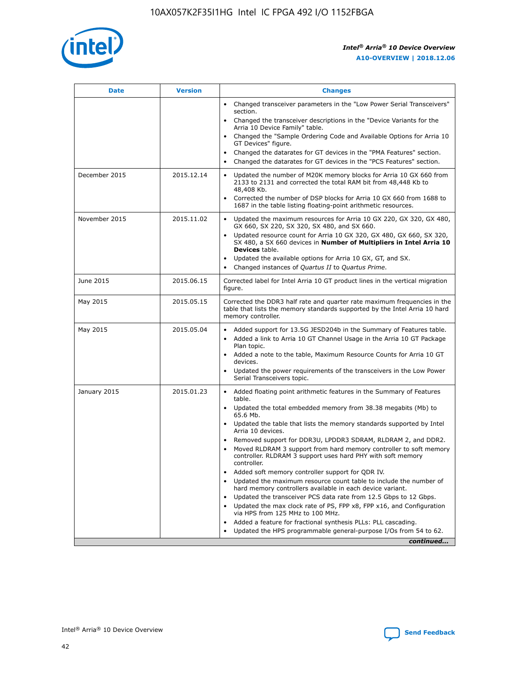

| <b>Date</b>   | <b>Version</b> | <b>Changes</b>                                                                                                                                                                   |
|---------------|----------------|----------------------------------------------------------------------------------------------------------------------------------------------------------------------------------|
|               |                | • Changed transceiver parameters in the "Low Power Serial Transceivers"<br>section.                                                                                              |
|               |                | • Changed the transceiver descriptions in the "Device Variants for the<br>Arria 10 Device Family" table.                                                                         |
|               |                | Changed the "Sample Ordering Code and Available Options for Arria 10<br>GT Devices" figure.                                                                                      |
|               |                | Changed the datarates for GT devices in the "PMA Features" section.                                                                                                              |
|               |                | Changed the datarates for GT devices in the "PCS Features" section.<br>$\bullet$                                                                                                 |
| December 2015 | 2015.12.14     | Updated the number of M20K memory blocks for Arria 10 GX 660 from<br>$\bullet$<br>2133 to 2131 and corrected the total RAM bit from 48,448 Kb to<br>48,408 Kb.                   |
|               |                | Corrected the number of DSP blocks for Arria 10 GX 660 from 1688 to<br>$\bullet$<br>1687 in the table listing floating-point arithmetic resources.                               |
| November 2015 | 2015.11.02     | Updated the maximum resources for Arria 10 GX 220, GX 320, GX 480,<br>$\bullet$<br>GX 660, SX 220, SX 320, SX 480, and SX 660.                                                   |
|               |                | Updated resource count for Arria 10 GX 320, GX 480, GX 660, SX 320,<br>$\bullet$<br>SX 480, a SX 660 devices in Number of Multipliers in Intel Arria 10<br><b>Devices</b> table. |
|               |                | Updated the available options for Arria 10 GX, GT, and SX.<br>$\bullet$                                                                                                          |
|               |                | Changed instances of Quartus II to Quartus Prime.<br>$\bullet$                                                                                                                   |
| June 2015     | 2015.06.15     | Corrected label for Intel Arria 10 GT product lines in the vertical migration<br>figure.                                                                                         |
| May 2015      | 2015.05.15     | Corrected the DDR3 half rate and quarter rate maximum frequencies in the<br>table that lists the memory standards supported by the Intel Arria 10 hard<br>memory controller.     |
| May 2015      | 2015.05.04     | • Added support for 13.5G JESD204b in the Summary of Features table.<br>• Added a link to Arria 10 GT Channel Usage in the Arria 10 GT Package<br>Plan topic.                    |
|               |                | • Added a note to the table, Maximum Resource Counts for Arria 10 GT<br>devices.                                                                                                 |
|               |                | Updated the power requirements of the transceivers in the Low Power<br>Serial Transceivers topic.                                                                                |
| January 2015  | 2015.01.23     | • Added floating point arithmetic features in the Summary of Features<br>table.                                                                                                  |
|               |                | • Updated the total embedded memory from 38.38 megabits (Mb) to<br>65.6 Mb.                                                                                                      |
|               |                | • Updated the table that lists the memory standards supported by Intel<br>Arria 10 devices.                                                                                      |
|               |                | Removed support for DDR3U, LPDDR3 SDRAM, RLDRAM 2, and DDR2.                                                                                                                     |
|               |                | Moved RLDRAM 3 support from hard memory controller to soft memory<br>controller. RLDRAM 3 support uses hard PHY with soft memory<br>controller.                                  |
|               |                | Added soft memory controller support for QDR IV.                                                                                                                                 |
|               |                | Updated the maximum resource count table to include the number of<br>hard memory controllers available in each device variant.                                                   |
|               |                | Updated the transceiver PCS data rate from 12.5 Gbps to 12 Gbps.<br>$\bullet$                                                                                                    |
|               |                | Updated the max clock rate of PS, FPP x8, FPP x16, and Configuration<br>via HPS from 125 MHz to 100 MHz.                                                                         |
|               |                | Added a feature for fractional synthesis PLLs: PLL cascading.                                                                                                                    |
|               |                | Updated the HPS programmable general-purpose I/Os from 54 to 62.                                                                                                                 |
|               |                | continued                                                                                                                                                                        |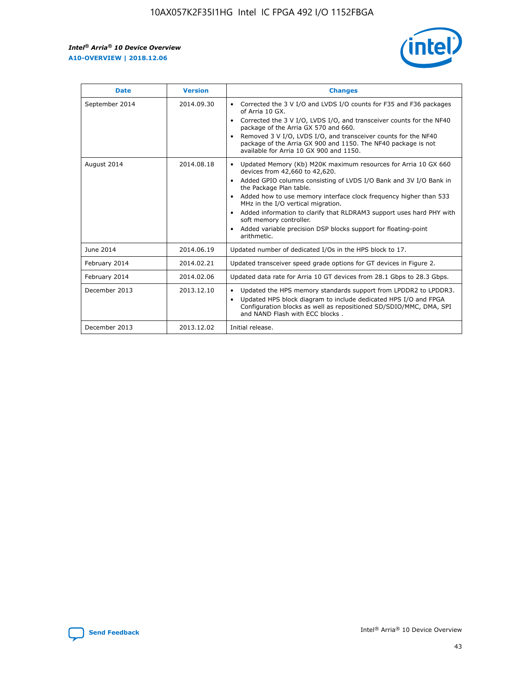$\mathsf{r}$ 



| <b>Date</b>    | <b>Version</b> | <b>Changes</b>                                                                                                                                                                                                                                                                                                                                                                                                                                                                                                                         |
|----------------|----------------|----------------------------------------------------------------------------------------------------------------------------------------------------------------------------------------------------------------------------------------------------------------------------------------------------------------------------------------------------------------------------------------------------------------------------------------------------------------------------------------------------------------------------------------|
| September 2014 | 2014.09.30     | Corrected the 3 V I/O and LVDS I/O counts for F35 and F36 packages<br>of Arria 10 GX.<br>Corrected the 3 V I/O, LVDS I/O, and transceiver counts for the NF40<br>package of the Arria GX 570 and 660.<br>Removed 3 V I/O, LVDS I/O, and transceiver counts for the NF40<br>package of the Arria GX 900 and 1150. The NF40 package is not<br>available for Arria 10 GX 900 and 1150.                                                                                                                                                    |
| August 2014    | 2014.08.18     | Updated Memory (Kb) M20K maximum resources for Arria 10 GX 660<br>devices from 42,660 to 42,620.<br>Added GPIO columns consisting of LVDS I/O Bank and 3V I/O Bank in<br>$\bullet$<br>the Package Plan table.<br>Added how to use memory interface clock frequency higher than 533<br>$\bullet$<br>MHz in the I/O vertical migration.<br>Added information to clarify that RLDRAM3 support uses hard PHY with<br>$\bullet$<br>soft memory controller.<br>Added variable precision DSP blocks support for floating-point<br>arithmetic. |
| June 2014      | 2014.06.19     | Updated number of dedicated I/Os in the HPS block to 17.                                                                                                                                                                                                                                                                                                                                                                                                                                                                               |
| February 2014  | 2014.02.21     | Updated transceiver speed grade options for GT devices in Figure 2.                                                                                                                                                                                                                                                                                                                                                                                                                                                                    |
| February 2014  | 2014.02.06     | Updated data rate for Arria 10 GT devices from 28.1 Gbps to 28.3 Gbps.                                                                                                                                                                                                                                                                                                                                                                                                                                                                 |
| December 2013  | 2013.12.10     | Updated the HPS memory standards support from LPDDR2 to LPDDR3.<br>Updated HPS block diagram to include dedicated HPS I/O and FPGA<br>$\bullet$<br>Configuration blocks as well as repositioned SD/SDIO/MMC, DMA, SPI<br>and NAND Flash with ECC blocks.                                                                                                                                                                                                                                                                               |
| December 2013  | 2013.12.02     | Initial release.                                                                                                                                                                                                                                                                                                                                                                                                                                                                                                                       |